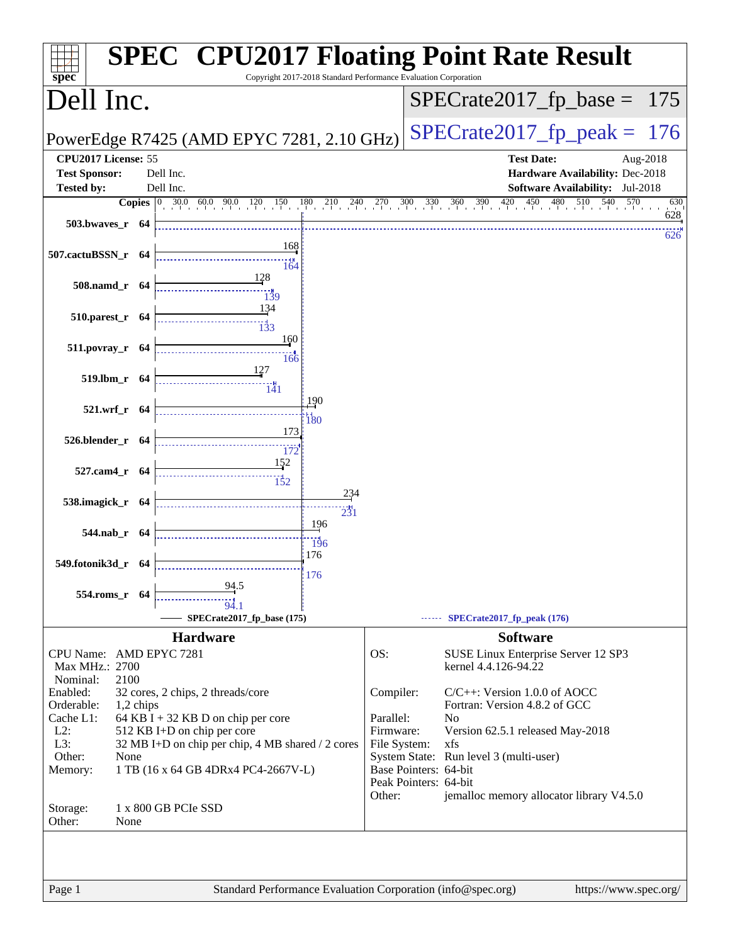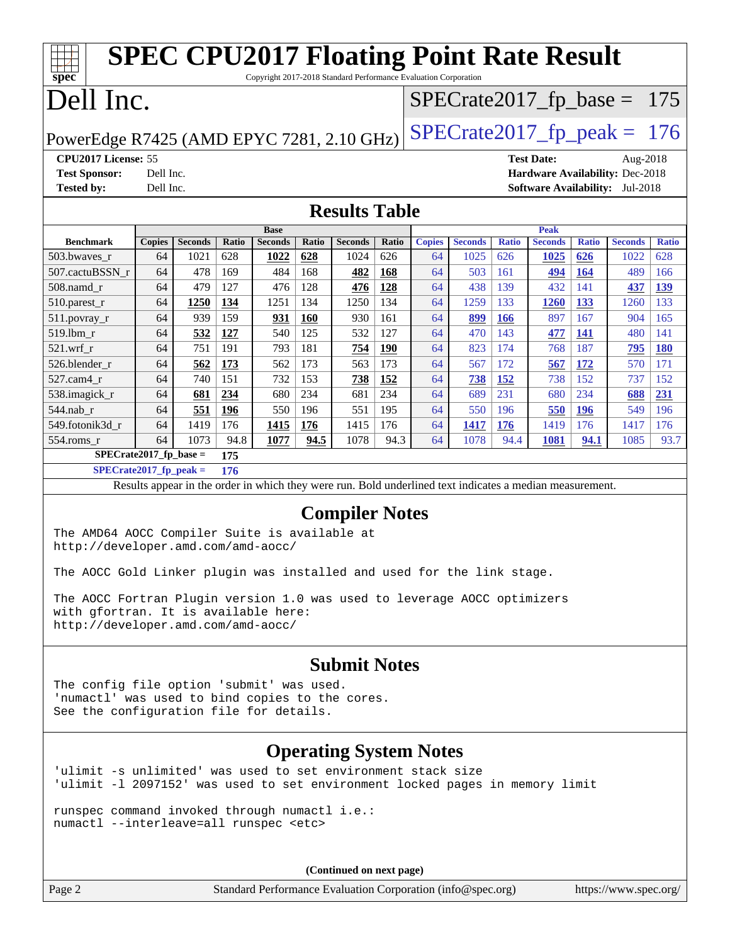| <b>SPEC CPU2017 Floating Point Rate Result</b><br>Copyright 2017-2018 Standard Performance Evaluation Corporation<br>spec <sup>®</sup>                                        |                                     |                |       |                               |       |                |              |               |                |              |                   |              |                                        |              |
|-------------------------------------------------------------------------------------------------------------------------------------------------------------------------------|-------------------------------------|----------------|-------|-------------------------------|-------|----------------|--------------|---------------|----------------|--------------|-------------------|--------------|----------------------------------------|--------------|
| Dell Inc.<br>$SPECTate2017_fp\_base = 175$                                                                                                                                    |                                     |                |       |                               |       |                |              |               |                |              |                   |              |                                        |              |
| $SPECTate2017_fp\_peak = 176$<br>PowerEdge R7425 (AMD EPYC 7281, 2.10 GHz)                                                                                                    |                                     |                |       |                               |       |                |              |               |                |              |                   |              |                                        |              |
| CPU2017 License: 55                                                                                                                                                           |                                     |                |       |                               |       |                |              |               |                |              | <b>Test Date:</b> |              | Aug-2018                               |              |
| <b>Test Sponsor:</b>                                                                                                                                                          | Dell Inc.                           |                |       |                               |       |                |              |               |                |              |                   |              | Hardware Availability: Dec-2018        |              |
| <b>Tested by:</b>                                                                                                                                                             | Dell Inc.                           |                |       |                               |       |                |              |               |                |              |                   |              | <b>Software Availability:</b> Jul-2018 |              |
|                                                                                                                                                                               |                                     |                |       |                               |       |                |              |               |                |              |                   |              |                                        |              |
|                                                                                                                                                                               | <b>Results Table</b><br><b>Peak</b> |                |       |                               |       |                |              |               |                |              |                   |              |                                        |              |
| <b>Benchmark</b>                                                                                                                                                              | <b>Copies</b>                       | <b>Seconds</b> | Ratio | <b>Base</b><br><b>Seconds</b> | Ratio | <b>Seconds</b> | <b>Ratio</b> | <b>Copies</b> | <b>Seconds</b> | <b>Ratio</b> | <b>Seconds</b>    | <b>Ratio</b> | <b>Seconds</b>                         | <b>Ratio</b> |
| 503.bwaves_r                                                                                                                                                                  | 64                                  | 1021           | 628   | 1022                          | 628   | 1024           | 626          | 64            | 1025           | 626          | <b>1025</b>       | 626          | 1022                                   | 628          |
| 507.cactuBSSN_r                                                                                                                                                               | 64                                  | 478            | 169   | 484                           | 168   | 482            | <b>168</b>   | 64            | 503            | 161          | 494               | <b>164</b>   | 489                                    | 166          |
| 508.namd_r                                                                                                                                                                    | 64                                  | 479            | 127   | 476                           | 128   | 476            | 128          | 64            | 438            | 139          | 432               | 141          | 437                                    | 139          |
| 510.parest_r                                                                                                                                                                  | 64                                  | 1250           | 134   | 1251                          | 134   | 1250           | 134          | 64            | 1259           | 133          | 1260              | 133          | 1260                                   | 133          |
| 511.povray_r                                                                                                                                                                  | 64                                  | 939            | 159   | 931                           | 160   | 930            | 161          | 64            | 899            | <b>166</b>   | 897               | 167          | 904                                    | 165          |
| 519.1bm_r                                                                                                                                                                     | 64                                  | 532            | 127   | 540                           | 125   | 532            | 127          | 64            | 470            | 143          | 477               | 141          | 480                                    | 141          |
| 521.wrf_r                                                                                                                                                                     | 64                                  | 751            | 191   | 793                           | 181   | 754            | <b>190</b>   | 64            | 823            | 174          | 768               | 187          | 795                                    | <b>180</b>   |
| 526.blender_r                                                                                                                                                                 | 64                                  | 562            | 173   | 562                           | 173   | 563            | 173          | 64            | 567            | 172          | 567               | 172          | 570                                    | 171          |
| 527.cam4_r                                                                                                                                                                    | 64                                  | 740            | 151   | 732                           | 153   | <u>738</u>     | <b>152</b>   | 64            | <b>738</b>     | <b>152</b>   | 738               | 152          | 737                                    | 152          |
| 538.imagick_r                                                                                                                                                                 | 64                                  | 681            | 234   | 680                           | 234   | 681            | 234          | 64            | 689            | 231          | 680               | 234          | 688                                    | 231          |
| 544.nab_r                                                                                                                                                                     | 64                                  | 551            | 196   | 550                           | 196   | 551            | 195          | 64            | 550            | 196          | 550               | <b>196</b>   | 549                                    | 196          |
| 549.fotonik3d_r                                                                                                                                                               | 64                                  | 1419           | 176   | 1415                          | 176   | 1415           | 176          | 64            | 1417           | 176          | 1419              | 176          | 1417                                   | 176          |
| $554$ .roms_r                                                                                                                                                                 | 64                                  | 1073           | 94.8  | 1077                          | 94.5  | 1078           | 94.3         | 64            | 1078           | 94.4         | 1081              | 94.1         | 1085                                   | 93.7         |
| SPECrate2017_fp_base =                                                                                                                                                        |                                     |                | 175   |                               |       |                |              |               |                |              |                   |              |                                        |              |
| $SPECrate2017_fp\_peak =$                                                                                                                                                     |                                     |                | 176   |                               |       |                |              |               |                |              |                   |              |                                        |              |
| Results appear in the order in which they were run. Bold underlined text indicates a median measurement.                                                                      |                                     |                |       |                               |       |                |              |               |                |              |                   |              |                                        |              |
| <b>Compiler Notes</b>                                                                                                                                                         |                                     |                |       |                               |       |                |              |               |                |              |                   |              |                                        |              |
| The AMD64 AOCC Compiler Suite is available at<br>http://developer.amd.com/amd-aocc/                                                                                           |                                     |                |       |                               |       |                |              |               |                |              |                   |              |                                        |              |
| The AOCC Gold Linker plugin was installed and used for the link stage.                                                                                                        |                                     |                |       |                               |       |                |              |               |                |              |                   |              |                                        |              |
| The AOCC Fortran Plugin version 1.0 was used to leverage AOCC optimizers<br>with gfortran. It is available here:<br>http://developer.amd.com/amd-aocc/                        |                                     |                |       |                               |       |                |              |               |                |              |                   |              |                                        |              |
| <b>Submit Notes</b><br>The config file option 'submit' was used.<br>'numactl' was used to bind copies to the cores.<br>See the configuration file for details.                |                                     |                |       |                               |       |                |              |               |                |              |                   |              |                                        |              |
| <b>Operating System Notes</b><br>'ulimit -s unlimited' was used to set environment stack size                                                                                 |                                     |                |       |                               |       |                |              |               |                |              |                   |              |                                        |              |
| 'ulimit -1 2097152' was used to set environment locked pages in memory limit<br>runspec command invoked through numactl i.e.:<br>numactl --interleave=all runspec <etc></etc> |                                     |                |       |                               |       |                |              |               |                |              |                   |              |                                        |              |
|                                                                                                                                                                               | (Continued on next page)            |                |       |                               |       |                |              |               |                |              |                   |              |                                        |              |
| Standard Performance Evaluation Corporation (info@spec.org)<br>https://www.spec.org/<br>Page 2                                                                                |                                     |                |       |                               |       |                |              |               |                |              |                   |              |                                        |              |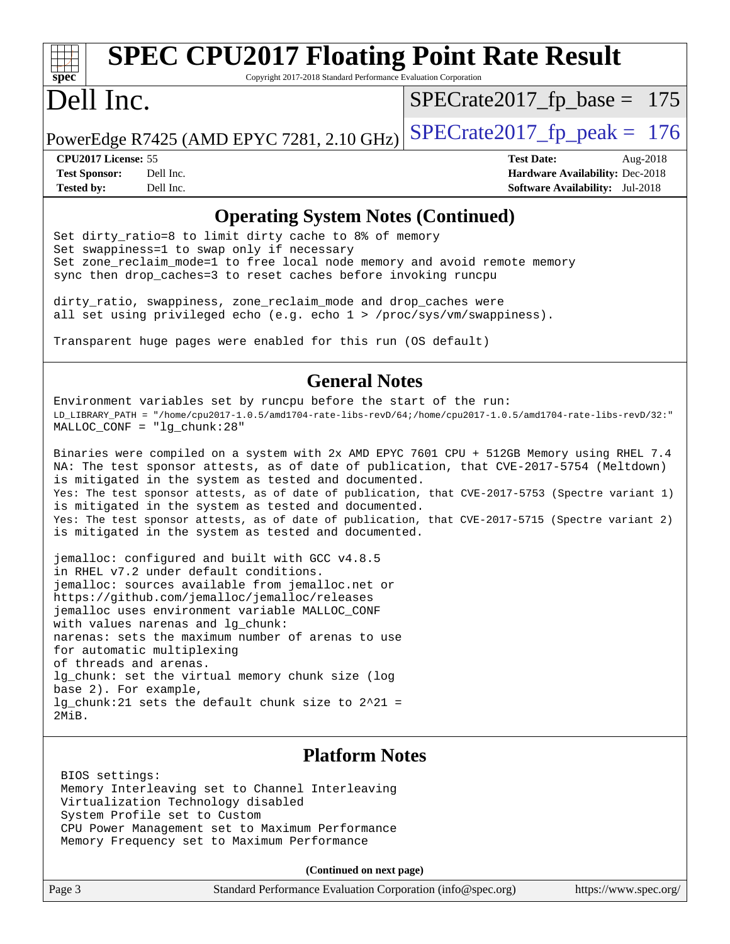# **[spec](http://www.spec.org/)**

# **[SPEC CPU2017 Floating Point Rate Result](http://www.spec.org/auto/cpu2017/Docs/result-fields.html#SPECCPU2017FloatingPointRateResult)**

Copyright 2017-2018 Standard Performance Evaluation Corporation

# Dell Inc.

 $SPECTate2017_fp\_base = 175$ 

PowerEdge R7425 (AMD EPYC 7281, 2.10 GHz)  $\left|$  [SPECrate2017\\_fp\\_peak =](http://www.spec.org/auto/cpu2017/Docs/result-fields.html#SPECrate2017fppeak) 176

**[Tested by:](http://www.spec.org/auto/cpu2017/Docs/result-fields.html#Testedby)** Dell Inc. **[Software Availability:](http://www.spec.org/auto/cpu2017/Docs/result-fields.html#SoftwareAvailability)** Jul-2018

**[CPU2017 License:](http://www.spec.org/auto/cpu2017/Docs/result-fields.html#CPU2017License)** 55 **[Test Date:](http://www.spec.org/auto/cpu2017/Docs/result-fields.html#TestDate)** Aug-2018 **[Test Sponsor:](http://www.spec.org/auto/cpu2017/Docs/result-fields.html#TestSponsor)** Dell Inc. **[Hardware Availability:](http://www.spec.org/auto/cpu2017/Docs/result-fields.html#HardwareAvailability)** Dec-2018

### **[Operating System Notes \(Continued\)](http://www.spec.org/auto/cpu2017/Docs/result-fields.html#OperatingSystemNotes)**

Set dirty\_ratio=8 to limit dirty cache to 8% of memory Set swappiness=1 to swap only if necessary Set zone\_reclaim\_mode=1 to free local node memory and avoid remote memory sync then drop\_caches=3 to reset caches before invoking runcpu

dirty\_ratio, swappiness, zone\_reclaim\_mode and drop\_caches were all set using privileged echo (e.g. echo 1 > /proc/sys/vm/swappiness).

Transparent huge pages were enabled for this run (OS default)

#### **[General Notes](http://www.spec.org/auto/cpu2017/Docs/result-fields.html#GeneralNotes)**

Environment variables set by runcpu before the start of the run: LD\_LIBRARY\_PATH = "/home/cpu2017-1.0.5/amd1704-rate-libs-revD/64;/home/cpu2017-1.0.5/amd1704-rate-libs-revD/32:" MALLOC\_CONF = "lg\_chunk:28"

Binaries were compiled on a system with 2x AMD EPYC 7601 CPU + 512GB Memory using RHEL 7.4 NA: The test sponsor attests, as of date of publication, that CVE-2017-5754 (Meltdown) is mitigated in the system as tested and documented. Yes: The test sponsor attests, as of date of publication, that CVE-2017-5753 (Spectre variant 1) is mitigated in the system as tested and documented. Yes: The test sponsor attests, as of date of publication, that CVE-2017-5715 (Spectre variant 2) is mitigated in the system as tested and documented.

jemalloc: configured and built with GCC v4.8.5 in RHEL v7.2 under default conditions. jemalloc: sources available from jemalloc.net or <https://github.com/jemalloc/jemalloc/releases> jemalloc uses environment variable MALLOC\_CONF with values narenas and lg\_chunk: narenas: sets the maximum number of arenas to use for automatic multiplexing of threads and arenas. lg chunk: set the virtual memory chunk size (log base 2). For example, lg\_chunk:21 sets the default chunk size to 2^21 = 2MiB.

#### **[Platform Notes](http://www.spec.org/auto/cpu2017/Docs/result-fields.html#PlatformNotes)**

 BIOS settings: Memory Interleaving set to Channel Interleaving Virtualization Technology disabled System Profile set to Custom CPU Power Management set to Maximum Performance Memory Frequency set to Maximum Performance

**(Continued on next page)**

| Page 3 | Standard Performance Evaluation Corporation (info@spec.org) |  | https://www.spec.org/ |
|--------|-------------------------------------------------------------|--|-----------------------|
|--------|-------------------------------------------------------------|--|-----------------------|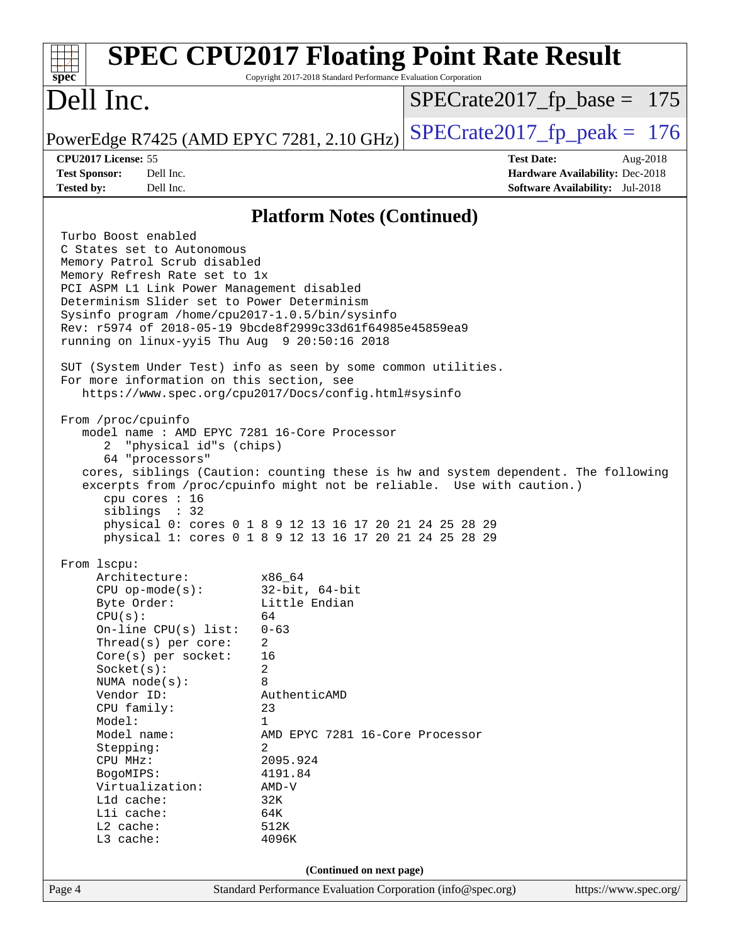| spec                                                                                                                                                                                                                                                                                                                                                                                                                                                                                              | Copyright 2017-2018 Standard Performance Evaluation Corporation                                                                                                                                                          | <b>SPEC CPU2017 Floating Point Rate Result</b> |                                                                                       |  |
|---------------------------------------------------------------------------------------------------------------------------------------------------------------------------------------------------------------------------------------------------------------------------------------------------------------------------------------------------------------------------------------------------------------------------------------------------------------------------------------------------|--------------------------------------------------------------------------------------------------------------------------------------------------------------------------------------------------------------------------|------------------------------------------------|---------------------------------------------------------------------------------------|--|
| Dell Inc.                                                                                                                                                                                                                                                                                                                                                                                                                                                                                         |                                                                                                                                                                                                                          | $SPECrate2017_fp\_base = 175$                  |                                                                                       |  |
| PowerEdge R7425 (AMD EPYC 7281, 2.10 GHz)                                                                                                                                                                                                                                                                                                                                                                                                                                                         | $SPECrate2017fp peak = 176$                                                                                                                                                                                              |                                                |                                                                                       |  |
| CPU2017 License: 55<br>Dell Inc.<br><b>Test Sponsor:</b><br><b>Tested by:</b><br>Dell Inc.                                                                                                                                                                                                                                                                                                                                                                                                        |                                                                                                                                                                                                                          | <b>Test Date:</b>                              | Aug-2018<br>Hardware Availability: Dec-2018<br><b>Software Availability:</b> Jul-2018 |  |
|                                                                                                                                                                                                                                                                                                                                                                                                                                                                                                   | <b>Platform Notes (Continued)</b>                                                                                                                                                                                        |                                                |                                                                                       |  |
| Turbo Boost enabled<br>C States set to Autonomous<br>Memory Patrol Scrub disabled<br>Memory Refresh Rate set to 1x<br>PCI ASPM L1 Link Power Management disabled<br>Determinism Slider set to Power Determinism<br>Sysinfo program /home/cpu2017-1.0.5/bin/sysinfo<br>Rev: r5974 of 2018-05-19 9bcde8f2999c33d61f64985e45859ea9<br>running on linux-yyi5 Thu Aug 9 20:50:16 2018<br>SUT (System Under Test) info as seen by some common utilities.<br>For more information on this section, see   |                                                                                                                                                                                                                          |                                                |                                                                                       |  |
| https://www.spec.org/cpu2017/Docs/config.html#sysinfo<br>From /proc/cpuinfo<br>model name: AMD EPYC 7281 16-Core Processor<br>2 "physical id"s (chips)<br>64 "processors"<br>cores, siblings (Caution: counting these is hw and system dependent. The following<br>excerpts from /proc/cpuinfo might not be reliable. Use with caution.)<br>cpu cores : 16<br>siblings : 32<br>physical 0: cores 0 1 8 9 12 13 16 17 20 21 24 25 28 29<br>physical 1: cores 0 1 8 9 12 13 16 17 20 21 24 25 28 29 |                                                                                                                                                                                                                          |                                                |                                                                                       |  |
| From lscpu:<br>Architecture:<br>$CPU$ op-mode( $s$ ):<br>Byte Order:<br>CPU(s):<br>On-line $CPU(s)$ list:<br>Thread(s) per core:<br>$Core(s)$ per socket:<br>Socket(s):<br>NUMA $node(s)$ :<br>Vendor ID:<br>CPU family:<br>Model:<br>Model name:<br>Stepping:<br>CPU MHz:<br>BogoMIPS:<br>Virtualization:<br>L1d cache:<br>Lli cache:<br>L2 cache:<br>L3 cache:                                                                                                                                  | x86_64<br>$32$ -bit, $64$ -bit<br>Little Endian<br>64<br>$0 - 63$<br>2<br>16<br>2<br>8<br>AuthenticAMD<br>23<br>1<br>AMD EPYC 7281 16-Core Processor<br>2<br>2095.924<br>4191.84<br>AMD-V<br>32K<br>64K<br>512K<br>4096K |                                                |                                                                                       |  |
| (Continued on next page)                                                                                                                                                                                                                                                                                                                                                                                                                                                                          |                                                                                                                                                                                                                          |                                                |                                                                                       |  |
| Page 4                                                                                                                                                                                                                                                                                                                                                                                                                                                                                            | Standard Performance Evaluation Corporation (info@spec.org)                                                                                                                                                              |                                                | https://www.spec.org/                                                                 |  |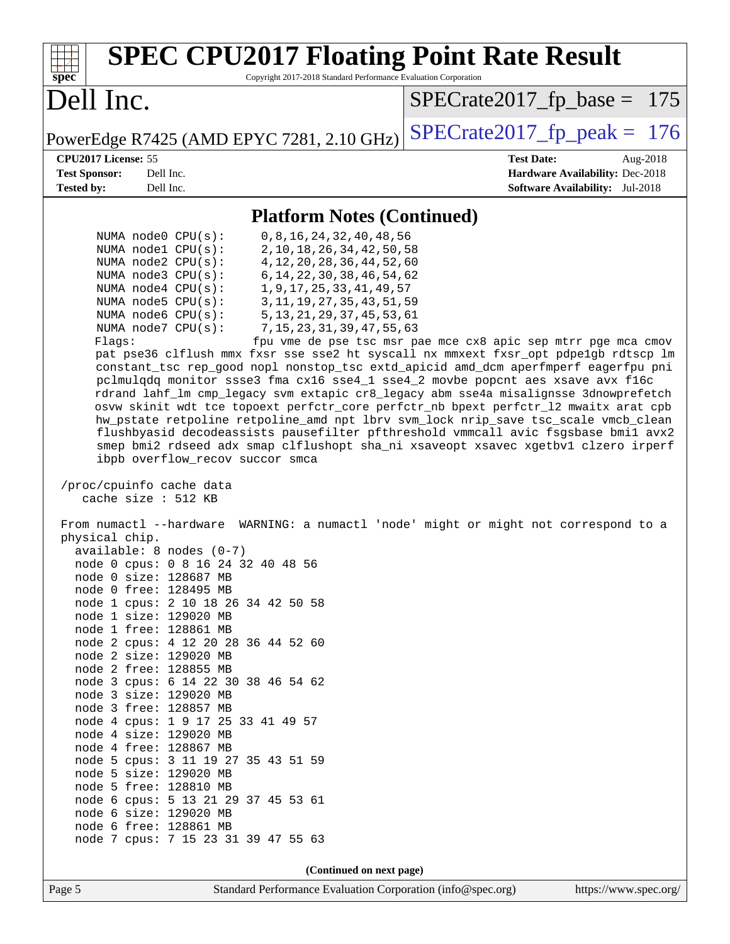| <b>SPEC CPU2017 Floating Point Rate Result</b><br>Copyright 2017-2018 Standard Performance Evaluation Corporation<br>$spec^*$                                                                                                                                                                                                                                                                                                                                                                                                                                                                                                                                                                                                                                                                                                                                                                                                                                                                                                                                                                                                                                                                                                                                                                                                                                                                                                                                                                                                                                                                                                                                                                                                                                                                                                                                                                                                                                                                                                                                                                                             |                                                               |
|---------------------------------------------------------------------------------------------------------------------------------------------------------------------------------------------------------------------------------------------------------------------------------------------------------------------------------------------------------------------------------------------------------------------------------------------------------------------------------------------------------------------------------------------------------------------------------------------------------------------------------------------------------------------------------------------------------------------------------------------------------------------------------------------------------------------------------------------------------------------------------------------------------------------------------------------------------------------------------------------------------------------------------------------------------------------------------------------------------------------------------------------------------------------------------------------------------------------------------------------------------------------------------------------------------------------------------------------------------------------------------------------------------------------------------------------------------------------------------------------------------------------------------------------------------------------------------------------------------------------------------------------------------------------------------------------------------------------------------------------------------------------------------------------------------------------------------------------------------------------------------------------------------------------------------------------------------------------------------------------------------------------------------------------------------------------------------------------------------------------------|---------------------------------------------------------------|
| Dell Inc.                                                                                                                                                                                                                                                                                                                                                                                                                                                                                                                                                                                                                                                                                                                                                                                                                                                                                                                                                                                                                                                                                                                                                                                                                                                                                                                                                                                                                                                                                                                                                                                                                                                                                                                                                                                                                                                                                                                                                                                                                                                                                                                 | $SPECrate2017_fp\_base = 175$                                 |
| PowerEdge R7425 (AMD EPYC 7281, 2.10 GHz)                                                                                                                                                                                                                                                                                                                                                                                                                                                                                                                                                                                                                                                                                                                                                                                                                                                                                                                                                                                                                                                                                                                                                                                                                                                                                                                                                                                                                                                                                                                                                                                                                                                                                                                                                                                                                                                                                                                                                                                                                                                                                 | $SPECTate2017$ _fp_peak = 176                                 |
| CPU2017 License: 55                                                                                                                                                                                                                                                                                                                                                                                                                                                                                                                                                                                                                                                                                                                                                                                                                                                                                                                                                                                                                                                                                                                                                                                                                                                                                                                                                                                                                                                                                                                                                                                                                                                                                                                                                                                                                                                                                                                                                                                                                                                                                                       | <b>Test Date:</b><br>Aug-2018                                 |
| <b>Test Sponsor:</b><br>Dell Inc.                                                                                                                                                                                                                                                                                                                                                                                                                                                                                                                                                                                                                                                                                                                                                                                                                                                                                                                                                                                                                                                                                                                                                                                                                                                                                                                                                                                                                                                                                                                                                                                                                                                                                                                                                                                                                                                                                                                                                                                                                                                                                         | Hardware Availability: Dec-2018                               |
| Dell Inc.<br><b>Tested by:</b>                                                                                                                                                                                                                                                                                                                                                                                                                                                                                                                                                                                                                                                                                                                                                                                                                                                                                                                                                                                                                                                                                                                                                                                                                                                                                                                                                                                                                                                                                                                                                                                                                                                                                                                                                                                                                                                                                                                                                                                                                                                                                            | <b>Software Availability:</b> Jul-2018                        |
| <b>Platform Notes (Continued)</b>                                                                                                                                                                                                                                                                                                                                                                                                                                                                                                                                                                                                                                                                                                                                                                                                                                                                                                                                                                                                                                                                                                                                                                                                                                                                                                                                                                                                                                                                                                                                                                                                                                                                                                                                                                                                                                                                                                                                                                                                                                                                                         |                                                               |
| 0, 8, 16, 24, 32, 40, 48, 56<br>NUMA $node0$ $CPU(s)$ :<br>NUMA node1 CPU(s):<br>2, 10, 18, 26, 34, 42, 50, 58<br>NUMA node2 CPU(s):<br>4, 12, 20, 28, 36, 44, 52, 60<br>6, 14, 22, 30, 38, 46, 54, 62<br>NUMA $node3$ $CPU(s)$ :<br>1, 9, 17, 25, 33, 41, 49, 57<br>NUMA node4 CPU(s):<br>NUMA node5 CPU(s):<br>3, 11, 19, 27, 35, 43, 51, 59<br>NUMA node6 CPU(s):<br>5, 13, 21, 29, 37, 45, 53, 61<br>NUMA $node7$ $CPU(s):$<br>7, 15, 23, 31, 39, 47, 55, 63<br>Flags:<br>pat pse36 clflush mmx fxsr sse sse2 ht syscall nx mmxext fxsr_opt pdpelgb rdtscp lm<br>constant_tsc rep_good nopl nonstop_tsc extd_apicid amd_dcm aperfmperf eagerfpu pni<br>pclmulqdq monitor ssse3 fma cx16 sse4_1 sse4_2 movbe popcnt aes xsave avx f16c<br>rdrand lahf_lm cmp_legacy svm extapic cr8_legacy abm sse4a misalignsse 3dnowprefetch<br>osvw skinit wdt tce topoext perfctr_core perfctr_nb bpext perfctr_12 mwaitx arat cpb<br>hw_pstate retpoline retpoline_amd npt lbrv svm_lock nrip_save tsc_scale vmcb_clean<br>flushbyasid decodeassists pausefilter pfthreshold vmmcall avic fsgsbase bmil avx2<br>smep bmi2 rdseed adx smap clflushopt sha_ni xsaveopt xsavec xgetbvl clzero irperf<br>ibpb overflow_recov succor smca<br>/proc/cpuinfo cache data<br>cache size : 512 KB<br>From numactl --hardware WARNING: a numactl 'node' might or might not correspond to a<br>physical chip.<br>$available: 8 nodes (0-7)$<br>node 0 cpus: 0 8 16 24 32 40 48 56<br>node 0 size: 128687 MB<br>node 0 free: 128495 MB<br>node 1 cpus: 2 10 18 26 34 42 50 58<br>node 1 size: 129020 MB<br>node 1 free: 128861 MB<br>node 2 cpus: 4 12 20 28 36 44 52 60<br>node 2 size: 129020 MB<br>node 2 free: 128855 MB<br>node 3 cpus: 6 14 22 30 38 46 54 62<br>node 3 size: 129020 MB<br>node 3 free: 128857 MB<br>node 4 cpus: 1 9 17 25 33 41 49 57<br>node 4 size: 129020 MB<br>node 4 free: 128867 MB<br>node 5 cpus: 3 11 19 27 35 43 51 59<br>node 5 size: 129020 MB<br>node 5 free: 128810 MB<br>node 6 cpus: 5 13 21 29 37 45 53 61<br>node 6 size: 129020 MB<br>node 6 free: 128861 MB<br>node 7 cpus: 7 15 23 31 39 47 55 63 | fpu vme de pse tsc msr pae mce cx8 apic sep mtrr pge mca cmov |
|                                                                                                                                                                                                                                                                                                                                                                                                                                                                                                                                                                                                                                                                                                                                                                                                                                                                                                                                                                                                                                                                                                                                                                                                                                                                                                                                                                                                                                                                                                                                                                                                                                                                                                                                                                                                                                                                                                                                                                                                                                                                                                                           |                                                               |
| (Continued on next page)                                                                                                                                                                                                                                                                                                                                                                                                                                                                                                                                                                                                                                                                                                                                                                                                                                                                                                                                                                                                                                                                                                                                                                                                                                                                                                                                                                                                                                                                                                                                                                                                                                                                                                                                                                                                                                                                                                                                                                                                                                                                                                  |                                                               |

Page 5 Standard Performance Evaluation Corporation [\(info@spec.org\)](mailto:info@spec.org) <https://www.spec.org/>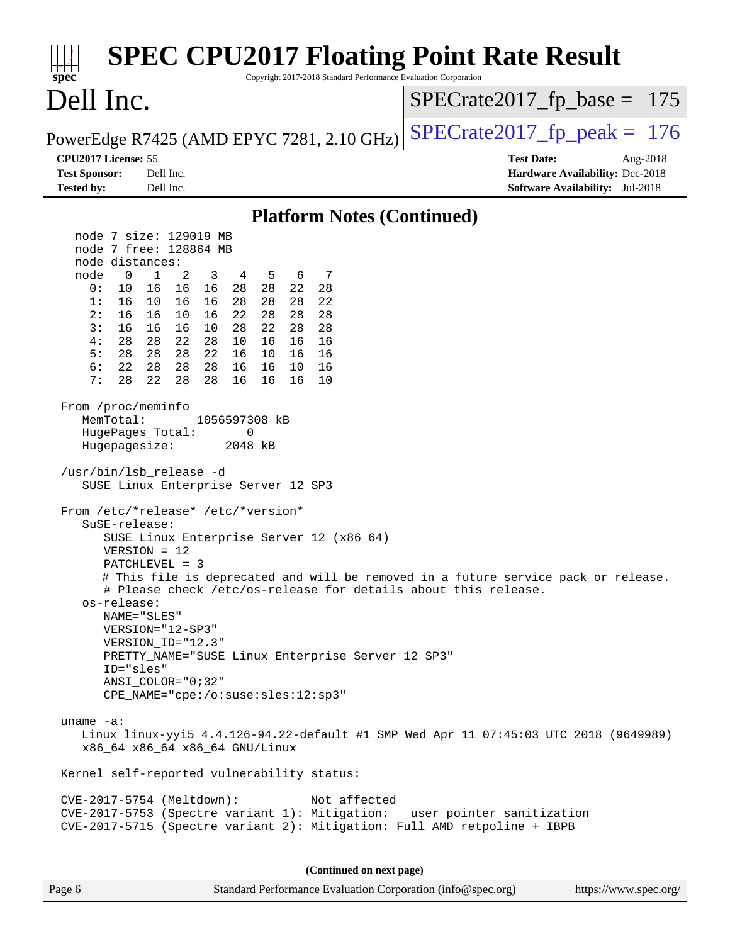| spec <sup>®</sup>                                                                                                 |                                                                                                                                                                                                                                                                                                                                                                                                                                                                        | Copyright 2017-2018 Standard Performance Evaluation Corporation | <b>SPEC CPU2017 Floating Point Rate Result</b>                                                                                                         |
|-------------------------------------------------------------------------------------------------------------------|------------------------------------------------------------------------------------------------------------------------------------------------------------------------------------------------------------------------------------------------------------------------------------------------------------------------------------------------------------------------------------------------------------------------------------------------------------------------|-----------------------------------------------------------------|--------------------------------------------------------------------------------------------------------------------------------------------------------|
| Dell Inc.                                                                                                         |                                                                                                                                                                                                                                                                                                                                                                                                                                                                        |                                                                 | $SPECrate2017_fp\_base = 175$                                                                                                                          |
|                                                                                                                   | PowerEdge R7425 (AMD EPYC 7281, 2.10 GHz)                                                                                                                                                                                                                                                                                                                                                                                                                              |                                                                 | $SPECrate2017fr peak = 176$                                                                                                                            |
| CPU2017 License: 55                                                                                               |                                                                                                                                                                                                                                                                                                                                                                                                                                                                        |                                                                 | <b>Test Date:</b><br>Aug-2018                                                                                                                          |
| <b>Test Sponsor:</b><br><b>Tested by:</b>                                                                         | Dell Inc.<br>Dell Inc.                                                                                                                                                                                                                                                                                                                                                                                                                                                 |                                                                 | Hardware Availability: Dec-2018<br><b>Software Availability:</b> Jul-2018                                                                              |
|                                                                                                                   |                                                                                                                                                                                                                                                                                                                                                                                                                                                                        |                                                                 |                                                                                                                                                        |
|                                                                                                                   | node 7 size: 129019 MB                                                                                                                                                                                                                                                                                                                                                                                                                                                 | <b>Platform Notes (Continued)</b>                               |                                                                                                                                                        |
|                                                                                                                   | node 7 free: 128864 MB                                                                                                                                                                                                                                                                                                                                                                                                                                                 |                                                                 |                                                                                                                                                        |
| node distances:                                                                                                   |                                                                                                                                                                                                                                                                                                                                                                                                                                                                        |                                                                 |                                                                                                                                                        |
| node<br>$\mathbf 0$                                                                                               | $\mathbf{1}$<br>2<br>3<br>4 5<br>6                                                                                                                                                                                                                                                                                                                                                                                                                                     | 7                                                               |                                                                                                                                                        |
| 0:<br>10                                                                                                          | 16 16 16<br>28 28 22                                                                                                                                                                                                                                                                                                                                                                                                                                                   | 28                                                              |                                                                                                                                                        |
| 1:<br>16                                                                                                          | 10 16<br>16<br>28<br>28<br>28                                                                                                                                                                                                                                                                                                                                                                                                                                          | 22                                                              |                                                                                                                                                        |
| 2:<br>16                                                                                                          | 16 10<br>16<br>22<br>28<br>28                                                                                                                                                                                                                                                                                                                                                                                                                                          | 28                                                              |                                                                                                                                                        |
| 3:<br>16<br>28<br>4 :                                                                                             | 22<br>28<br>16 16<br>10<br>28<br>28 22 28<br>10<br>16<br>16                                                                                                                                                                                                                                                                                                                                                                                                            | 28<br>16                                                        |                                                                                                                                                        |
| 5:<br>28                                                                                                          | 28 22<br>16<br>28<br>10<br>16                                                                                                                                                                                                                                                                                                                                                                                                                                          | 16                                                              |                                                                                                                                                        |
| 6:<br>22                                                                                                          | 28<br>28 28<br>16 16<br>10                                                                                                                                                                                                                                                                                                                                                                                                                                             | 16                                                              |                                                                                                                                                        |
| 7:<br>28                                                                                                          | 22<br>28<br>28<br>16<br>16<br>16                                                                                                                                                                                                                                                                                                                                                                                                                                       | 10                                                              |                                                                                                                                                        |
| From /proc/meminfo<br>MemTotal:<br>HugePages_Total:<br>Hugepagesize:<br>SuSE-release:<br>os-release:<br>ID="sles" | 1056597308 kB<br>0<br>2048 kB<br>/usr/bin/lsb_release -d<br>SUSE Linux Enterprise Server 12 SP3<br>From /etc/*release* /etc/*version*<br>SUSE Linux Enterprise Server 12 (x86_64)<br>$VERSION = 12$<br>PATCHLEVEL = 3<br># Please check /etc/os-release for details about this release.<br>NAME="SLES"<br>VERSION="12-SP3"<br>VERSION_ID="12.3"<br>PRETTY_NAME="SUSE Linux Enterprise Server 12 SP3"<br>ANSI_COLOR="0;32"<br>$CPE\_NAME = "cpe://o:suse: sles:12:sp3"$ |                                                                 | # This file is deprecated and will be removed in a future service pack or release.                                                                     |
| uname $-a$ :                                                                                                      | x86_64 x86_64 x86_64 GNU/Linux<br>Kernel self-reported vulnerability status:                                                                                                                                                                                                                                                                                                                                                                                           |                                                                 | Linux linux-yyi5 4.4.126-94.22-default #1 SMP Wed Apr 11 07:45:03 UTC 2018 (9649989)                                                                   |
|                                                                                                                   | CVE-2017-5754 (Meltdown):                                                                                                                                                                                                                                                                                                                                                                                                                                              | Not affected                                                    | CVE-2017-5753 (Spectre variant 1): Mitigation: __user pointer sanitization<br>CVE-2017-5715 (Spectre variant 2): Mitigation: Full AMD retpoline + IBPB |
|                                                                                                                   |                                                                                                                                                                                                                                                                                                                                                                                                                                                                        | (Continued on next page)                                        |                                                                                                                                                        |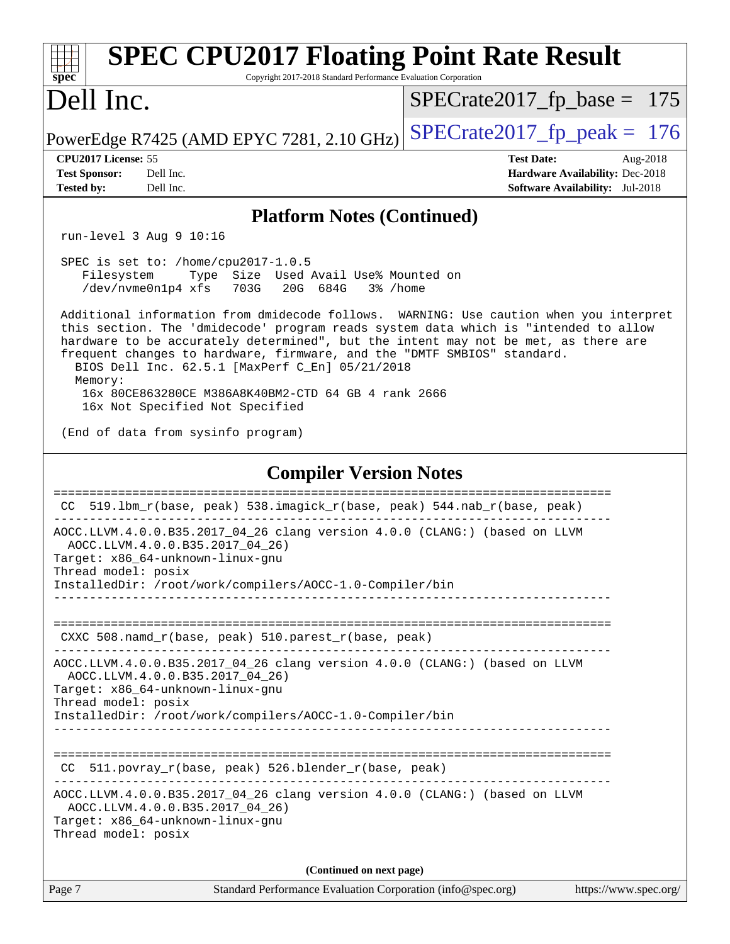| <b>SPEC CPU2017 Floating Point Rate Result</b><br>Copyright 2017-2018 Standard Performance Evaluation Corporation<br>spec <sup>®</sup>                                                                                                                                                                                                                                                                       |                                                                                                            |  |  |  |  |
|--------------------------------------------------------------------------------------------------------------------------------------------------------------------------------------------------------------------------------------------------------------------------------------------------------------------------------------------------------------------------------------------------------------|------------------------------------------------------------------------------------------------------------|--|--|--|--|
| Dell Inc.                                                                                                                                                                                                                                                                                                                                                                                                    | $SPECrate2017_fp\_base = 175$                                                                              |  |  |  |  |
| PowerEdge R7425 (AMD EPYC 7281, 2.10 GHz)                                                                                                                                                                                                                                                                                                                                                                    | $SPECTate2017$ _fp_peak = 176                                                                              |  |  |  |  |
| CPU2017 License: 55<br><b>Test Sponsor:</b><br>Dell Inc.<br>Dell Inc.                                                                                                                                                                                                                                                                                                                                        | <b>Test Date:</b><br>Aug-2018<br>Hardware Availability: Dec-2018<br><b>Software Availability:</b> Jul-2018 |  |  |  |  |
| <b>Tested by:</b>                                                                                                                                                                                                                                                                                                                                                                                            |                                                                                                            |  |  |  |  |
| <b>Platform Notes (Continued)</b><br>run-level 3 Aug 9 10:16                                                                                                                                                                                                                                                                                                                                                 |                                                                                                            |  |  |  |  |
| SPEC is set to: /home/cpu2017-1.0.5<br>Type Size Used Avail Use% Mounted on<br>Filesystem<br>/dev/nvme0n1p4 xfs<br>703G<br>20G 684G<br>3% /home                                                                                                                                                                                                                                                              |                                                                                                            |  |  |  |  |
| Additional information from dmidecode follows. WARNING: Use caution when you interpret<br>this section. The 'dmidecode' program reads system data which is "intended to allow<br>hardware to be accurately determined", but the intent may not be met, as there are<br>frequent changes to hardware, firmware, and the "DMTF SMBIOS" standard.<br>BIOS Dell Inc. 62.5.1 [MaxPerf C_En] 05/21/2018<br>Memory: |                                                                                                            |  |  |  |  |
| 16x 80CE863280CE M386A8K40BM2-CTD 64 GB 4 rank 2666<br>16x Not Specified Not Specified                                                                                                                                                                                                                                                                                                                       |                                                                                                            |  |  |  |  |
| (End of data from sysinfo program)                                                                                                                                                                                                                                                                                                                                                                           |                                                                                                            |  |  |  |  |
| <b>Compiler Version Notes</b>                                                                                                                                                                                                                                                                                                                                                                                |                                                                                                            |  |  |  |  |
| =====================<br>519.1bm_r(base, peak) 538.imagick_r(base, peak) 544.nab_r(base, peak)<br>CC                                                                                                                                                                                                                                                                                                         | ================================                                                                           |  |  |  |  |
| AOCC.LLVM.4.0.0.B35.2017_04_26 clang version 4.0.0 (CLANG:) (based on LLVM<br>AOCC.LLVM.4.0.0.B35.2017_04_26)<br>Target: x86_64-unknown-linux-gnu                                                                                                                                                                                                                                                            |                                                                                                            |  |  |  |  |
| Thread model: posix<br>InstalledDir: /root/work/compilers/AOCC-1.0-Compiler/bin<br>_____________________________________                                                                                                                                                                                                                                                                                     |                                                                                                            |  |  |  |  |
| CXXC 508.namd_r(base, peak) 510.parest_r(base, peak)                                                                                                                                                                                                                                                                                                                                                         |                                                                                                            |  |  |  |  |
| AOCC.LLVM.4.0.0.B35.2017_04_26 clang version 4.0.0 (CLANG:) (based on LLVM<br>AOCC.LLVM.4.0.0.B35.2017_04_26)<br>Target: x86_64-unknown-linux-gnu                                                                                                                                                                                                                                                            |                                                                                                            |  |  |  |  |
| Thread model: posix<br>InstalledDir: /root/work/compilers/AOCC-1.0-Compiler/bin                                                                                                                                                                                                                                                                                                                              |                                                                                                            |  |  |  |  |
| CC 511.povray_r(base, peak) 526.blender_r(base, peak)                                                                                                                                                                                                                                                                                                                                                        |                                                                                                            |  |  |  |  |
| AOCC.LLVM.4.0.0.B35.2017_04_26 clang version 4.0.0 (CLANG:) (based on LLVM<br>AOCC.LLVM.4.0.0.B35.2017_04_26)<br>Target: x86_64-unknown-linux-gnu<br>Thread model: posix                                                                                                                                                                                                                                     |                                                                                                            |  |  |  |  |
| (Continued on next page)                                                                                                                                                                                                                                                                                                                                                                                     |                                                                                                            |  |  |  |  |
| Page 7<br>Standard Performance Evaluation Corporation (info@spec.org)                                                                                                                                                                                                                                                                                                                                        | https://www.spec.org/                                                                                      |  |  |  |  |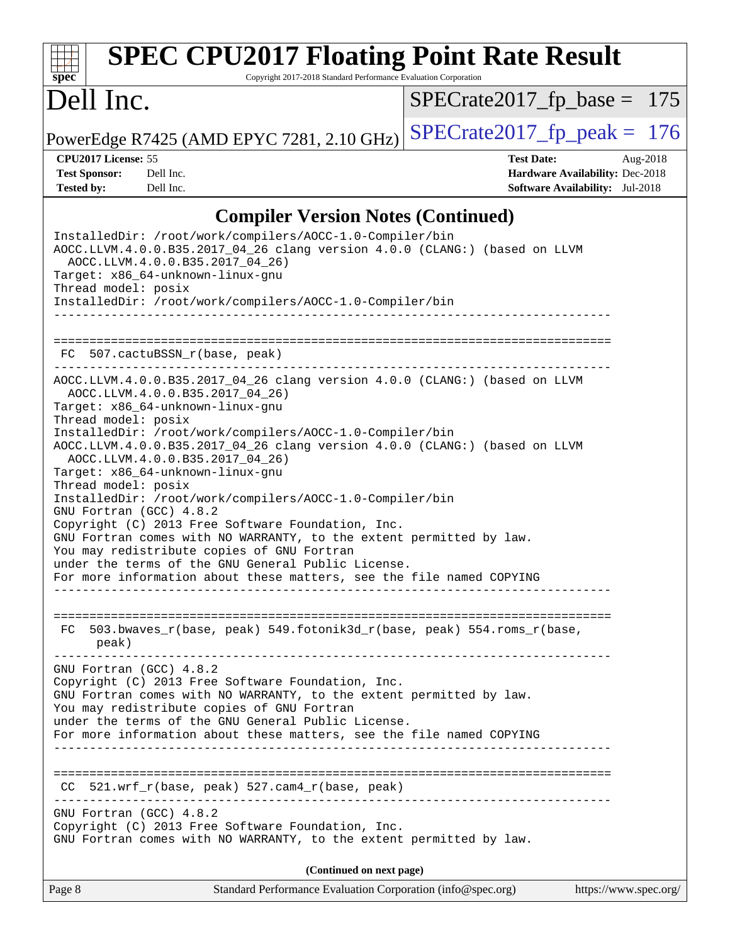#### **[spec](http://www.spec.org/) [SPEC CPU2017 Floating Point Rate Result](http://www.spec.org/auto/cpu2017/Docs/result-fields.html#SPECCPU2017FloatingPointRateResult)** Copyright 2017-2018 Standard Performance Evaluation Corporation Dell Inc. PowerEdge R7425 (AMD EPYC 7281, 2.10 GHz)  $\left|$  [SPECrate2017\\_fp\\_peak =](http://www.spec.org/auto/cpu2017/Docs/result-fields.html#SPECrate2017fppeak) 176 [SPECrate2017\\_fp\\_base =](http://www.spec.org/auto/cpu2017/Docs/result-fields.html#SPECrate2017fpbase) 175 **[CPU2017 License:](http://www.spec.org/auto/cpu2017/Docs/result-fields.html#CPU2017License)** 55 **[Test Date:](http://www.spec.org/auto/cpu2017/Docs/result-fields.html#TestDate)** Aug-2018 **[Test Sponsor:](http://www.spec.org/auto/cpu2017/Docs/result-fields.html#TestSponsor)** Dell Inc. **[Hardware Availability:](http://www.spec.org/auto/cpu2017/Docs/result-fields.html#HardwareAvailability)** Dec-2018 **[Tested by:](http://www.spec.org/auto/cpu2017/Docs/result-fields.html#Testedby)** Dell Inc. **[Software Availability:](http://www.spec.org/auto/cpu2017/Docs/result-fields.html#SoftwareAvailability)** Jul-2018 **[Compiler Version Notes \(Continued\)](http://www.spec.org/auto/cpu2017/Docs/result-fields.html#CompilerVersionNotes)** InstalledDir: /root/work/compilers/AOCC-1.0-Compiler/bin AOCC.LLVM.4.0.0.B35.2017\_04\_26 clang version 4.0.0 (CLANG:) (based on LLVM AOCC.LLVM.4.0.0.B35.2017\_04\_26) Target: x86\_64-unknown-linux-gnu Thread model: posix InstalledDir: /root/work/compilers/AOCC-1.0-Compiler/bin ------------------------------------------------------------------------------ ============================================================================== FC 507.cactuBSSN\_r(base, peak) AOCC.LLVM.4.0.0.B35.2017\_04\_26 clang version 4.0.0 (CLANG:) (based on LLVM AOCC.LLVM.4.0.0.B35.2017\_04\_26) Target: x86\_64-unknown-linux-gnu Thread model: posix InstalledDir: /root/work/compilers/AOCC-1.0-Compiler/bin AOCC.LLVM.4.0.0.B35.2017\_04\_26 clang version 4.0.0 (CLANG:) (based on LLVM AOCC.LLVM.4.0.0.B35.2017\_04\_26) Target: x86\_64-unknown-linux-gnu Thread model: posix InstalledDir: /root/work/compilers/AOCC-1.0-Compiler/bin GNU Fortran (GCC) 4.8.2 Copyright (C) 2013 Free Software Foundation, Inc. GNU Fortran comes with NO WARRANTY, to the extent permitted by law.

You may redistribute copies of GNU Fortran under the terms of the GNU General Public License.

For more information about these matters, see the file named COPYING ------------------------------------------------------------------------------

============================================================================== FC 503.bwaves\_r(base, peak) 549.fotonik3d\_r(base, peak) 554.roms\_r(base, peak)

------------------------------------------------------------------------------ GNU Fortran (GCC) 4.8.2 Copyright (C) 2013 Free Software Foundation, Inc. GNU Fortran comes with NO WARRANTY, to the extent permitted by law. You may redistribute copies of GNU Fortran under the terms of the GNU General Public License. For more information about these matters, see the file named COPYING ------------------------------------------------------------------------------

============================================================================== CC 521.wrf\_r(base, peak) 527.cam4\_r(base, peak)

------------------------------------------------------------------------------

GNU Fortran (GCC) 4.8.2 Copyright (C) 2013 Free Software Foundation, Inc. GNU Fortran comes with NO WARRANTY, to the extent permitted by law.

**(Continued on next page)**

Page 8 Standard Performance Evaluation Corporation [\(info@spec.org\)](mailto:info@spec.org) <https://www.spec.org/>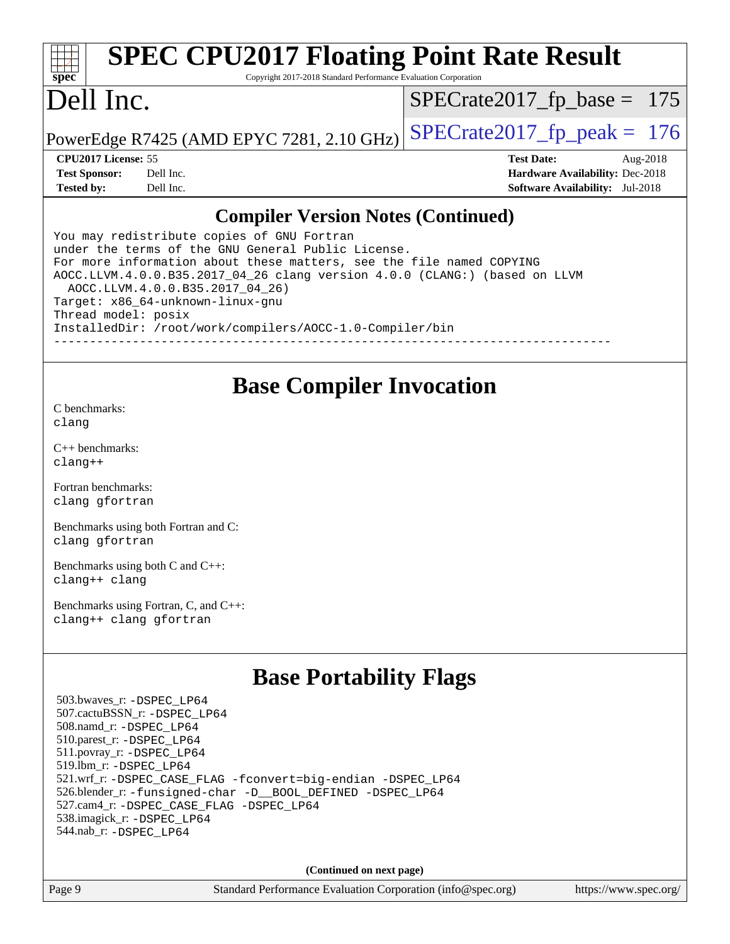#### **[spec](http://www.spec.org/) [SPEC CPU2017 Floating Point Rate Result](http://www.spec.org/auto/cpu2017/Docs/result-fields.html#SPECCPU2017FloatingPointRateResult)** Copyright 2017-2018 Standard Performance Evaluation Corporation Dell Inc. PowerEdge R7425 (AMD EPYC 7281, 2.10 GHz)  $\left|$  [SPECrate2017\\_fp\\_peak =](http://www.spec.org/auto/cpu2017/Docs/result-fields.html#SPECrate2017fppeak) 176 [SPECrate2017\\_fp\\_base =](http://www.spec.org/auto/cpu2017/Docs/result-fields.html#SPECrate2017fpbase) 175 **[CPU2017 License:](http://www.spec.org/auto/cpu2017/Docs/result-fields.html#CPU2017License)** 55 **[Test Date:](http://www.spec.org/auto/cpu2017/Docs/result-fields.html#TestDate)** Aug-2018 **[Test Sponsor:](http://www.spec.org/auto/cpu2017/Docs/result-fields.html#TestSponsor)** Dell Inc. **[Hardware Availability:](http://www.spec.org/auto/cpu2017/Docs/result-fields.html#HardwareAvailability)** Dec-2018 **[Tested by:](http://www.spec.org/auto/cpu2017/Docs/result-fields.html#Testedby)** Dell Inc. **[Software Availability:](http://www.spec.org/auto/cpu2017/Docs/result-fields.html#SoftwareAvailability)** Jul-2018 **[Compiler Version Notes \(Continued\)](http://www.spec.org/auto/cpu2017/Docs/result-fields.html#CompilerVersionNotes)**

You may redistribute copies of GNU Fortran under the terms of the GNU General Public License. For more information about these matters, see the file named COPYING AOCC.LLVM.4.0.0.B35.2017\_04\_26 clang version 4.0.0 (CLANG:) (based on LLVM AOCC.LLVM.4.0.0.B35.2017\_04\_26) Target: x86\_64-unknown-linux-gnu Thread model: posix InstalledDir: /root/work/compilers/AOCC-1.0-Compiler/bin ------------------------------------------------------------------------------

### **[Base Compiler Invocation](http://www.spec.org/auto/cpu2017/Docs/result-fields.html#BaseCompilerInvocation)**

[C benchmarks](http://www.spec.org/auto/cpu2017/Docs/result-fields.html#Cbenchmarks): [clang](http://www.spec.org/cpu2017/results/res2018q4/cpu2017-20181029-09367.flags.html#user_CCbase_Fclang3_a68b77bfed473bd9cdd22529af008e8306c2e3948617c8991604c1a2000ee4a73ef90dd8bc793e105fe4165a625d26dacbda4708d828ad19048918c071b363ec)

[C++ benchmarks:](http://www.spec.org/auto/cpu2017/Docs/result-fields.html#CXXbenchmarks) [clang++](http://www.spec.org/cpu2017/results/res2018q4/cpu2017-20181029-09367.flags.html#user_CXXbase_Fclang3_57a48582e5be507d19b2527b3e7d4f85d9b8669ffc9a8a0dbb9bcf949a918a58bbab411e0c4d14a3922022a3e425a90db94042683824c1806feff4324ca1000d)

[Fortran benchmarks](http://www.spec.org/auto/cpu2017/Docs/result-fields.html#Fortranbenchmarks): [clang](http://www.spec.org/cpu2017/results/res2018q4/cpu2017-20181029-09367.flags.html#user_FCbase_Fclang3_a68b77bfed473bd9cdd22529af008e8306c2e3948617c8991604c1a2000ee4a73ef90dd8bc793e105fe4165a625d26dacbda4708d828ad19048918c071b363ec) [gfortran](http://www.spec.org/cpu2017/results/res2018q4/cpu2017-20181029-09367.flags.html#user_FCbase_aocc-gfortran_128c91a56d61ddb07404721e65b8f9498c31a443dacbd3b7f212891090eca86e2d099b520f75b99e9e8ac4fdec01f4d15f0b65e47123ec4c42b0759045731a1f)

[Benchmarks using both Fortran and C](http://www.spec.org/auto/cpu2017/Docs/result-fields.html#BenchmarksusingbothFortranandC): [clang](http://www.spec.org/cpu2017/results/res2018q4/cpu2017-20181029-09367.flags.html#user_CC_FCbase_Fclang3_a68b77bfed473bd9cdd22529af008e8306c2e3948617c8991604c1a2000ee4a73ef90dd8bc793e105fe4165a625d26dacbda4708d828ad19048918c071b363ec) [gfortran](http://www.spec.org/cpu2017/results/res2018q4/cpu2017-20181029-09367.flags.html#user_CC_FCbase_aocc-gfortran_128c91a56d61ddb07404721e65b8f9498c31a443dacbd3b7f212891090eca86e2d099b520f75b99e9e8ac4fdec01f4d15f0b65e47123ec4c42b0759045731a1f)

[Benchmarks using both C and C++](http://www.spec.org/auto/cpu2017/Docs/result-fields.html#BenchmarksusingbothCandCXX): [clang++](http://www.spec.org/cpu2017/results/res2018q4/cpu2017-20181029-09367.flags.html#user_CC_CXXbase_Fclang3_57a48582e5be507d19b2527b3e7d4f85d9b8669ffc9a8a0dbb9bcf949a918a58bbab411e0c4d14a3922022a3e425a90db94042683824c1806feff4324ca1000d) [clang](http://www.spec.org/cpu2017/results/res2018q4/cpu2017-20181029-09367.flags.html#user_CC_CXXbase_Fclang3_a68b77bfed473bd9cdd22529af008e8306c2e3948617c8991604c1a2000ee4a73ef90dd8bc793e105fe4165a625d26dacbda4708d828ad19048918c071b363ec)

[Benchmarks using Fortran, C, and C++:](http://www.spec.org/auto/cpu2017/Docs/result-fields.html#BenchmarksusingFortranCandCXX) [clang++](http://www.spec.org/cpu2017/results/res2018q4/cpu2017-20181029-09367.flags.html#user_CC_CXX_FCbase_Fclang3_57a48582e5be507d19b2527b3e7d4f85d9b8669ffc9a8a0dbb9bcf949a918a58bbab411e0c4d14a3922022a3e425a90db94042683824c1806feff4324ca1000d) [clang](http://www.spec.org/cpu2017/results/res2018q4/cpu2017-20181029-09367.flags.html#user_CC_CXX_FCbase_Fclang3_a68b77bfed473bd9cdd22529af008e8306c2e3948617c8991604c1a2000ee4a73ef90dd8bc793e105fe4165a625d26dacbda4708d828ad19048918c071b363ec) [gfortran](http://www.spec.org/cpu2017/results/res2018q4/cpu2017-20181029-09367.flags.html#user_CC_CXX_FCbase_aocc-gfortran_128c91a56d61ddb07404721e65b8f9498c31a443dacbd3b7f212891090eca86e2d099b520f75b99e9e8ac4fdec01f4d15f0b65e47123ec4c42b0759045731a1f)

# **[Base Portability Flags](http://www.spec.org/auto/cpu2017/Docs/result-fields.html#BasePortabilityFlags)**

 503.bwaves\_r: [-DSPEC\\_LP64](http://www.spec.org/cpu2017/results/res2018q4/cpu2017-20181029-09367.flags.html#suite_baseEXTRA_PORTABILITY503_bwaves_r_DSPEC_LP64) 507.cactuBSSN\_r: [-DSPEC\\_LP64](http://www.spec.org/cpu2017/results/res2018q4/cpu2017-20181029-09367.flags.html#suite_baseEXTRA_PORTABILITY507_cactuBSSN_r_DSPEC_LP64) 508.namd\_r: [-DSPEC\\_LP64](http://www.spec.org/cpu2017/results/res2018q4/cpu2017-20181029-09367.flags.html#suite_baseEXTRA_PORTABILITY508_namd_r_DSPEC_LP64) 510.parest\_r: [-DSPEC\\_LP64](http://www.spec.org/cpu2017/results/res2018q4/cpu2017-20181029-09367.flags.html#suite_baseEXTRA_PORTABILITY510_parest_r_DSPEC_LP64) 511.povray\_r: [-DSPEC\\_LP64](http://www.spec.org/cpu2017/results/res2018q4/cpu2017-20181029-09367.flags.html#suite_baseEXTRA_PORTABILITY511_povray_r_DSPEC_LP64) 519.lbm\_r: [-DSPEC\\_LP64](http://www.spec.org/cpu2017/results/res2018q4/cpu2017-20181029-09367.flags.html#suite_baseEXTRA_PORTABILITY519_lbm_r_DSPEC_LP64) 521.wrf\_r: [-DSPEC\\_CASE\\_FLAG](http://www.spec.org/cpu2017/results/res2018q4/cpu2017-20181029-09367.flags.html#b521.wrf_r_baseCPORTABILITY_DSPEC_CASE_FLAG) [-fconvert=big-endian](http://www.spec.org/cpu2017/results/res2018q4/cpu2017-20181029-09367.flags.html#user_baseFPORTABILITY521_wrf_r_F-fconvert) [-DSPEC\\_LP64](http://www.spec.org/cpu2017/results/res2018q4/cpu2017-20181029-09367.flags.html#suite_baseEXTRA_PORTABILITY521_wrf_r_DSPEC_LP64) 526.blender\_r: [-funsigned-char](http://www.spec.org/cpu2017/results/res2018q4/cpu2017-20181029-09367.flags.html#user_baseCPORTABILITY526_blender_r_F-funsigned-char) [-D\\_\\_BOOL\\_DEFINED](http://www.spec.org/cpu2017/results/res2018q4/cpu2017-20181029-09367.flags.html#b526.blender_r_baseCXXPORTABILITY_D__BOOL_DEFINED) [-DSPEC\\_LP64](http://www.spec.org/cpu2017/results/res2018q4/cpu2017-20181029-09367.flags.html#suite_baseEXTRA_PORTABILITY526_blender_r_DSPEC_LP64) 527.cam4\_r: [-DSPEC\\_CASE\\_FLAG](http://www.spec.org/cpu2017/results/res2018q4/cpu2017-20181029-09367.flags.html#b527.cam4_r_basePORTABILITY_DSPEC_CASE_FLAG) [-DSPEC\\_LP64](http://www.spec.org/cpu2017/results/res2018q4/cpu2017-20181029-09367.flags.html#suite_baseEXTRA_PORTABILITY527_cam4_r_DSPEC_LP64) 538.imagick\_r: [-DSPEC\\_LP64](http://www.spec.org/cpu2017/results/res2018q4/cpu2017-20181029-09367.flags.html#suite_baseEXTRA_PORTABILITY538_imagick_r_DSPEC_LP64) 544.nab\_r: [-DSPEC\\_LP64](http://www.spec.org/cpu2017/results/res2018q4/cpu2017-20181029-09367.flags.html#suite_baseEXTRA_PORTABILITY544_nab_r_DSPEC_LP64)

**(Continued on next page)**

Page 9 Standard Performance Evaluation Corporation [\(info@spec.org\)](mailto:info@spec.org) <https://www.spec.org/>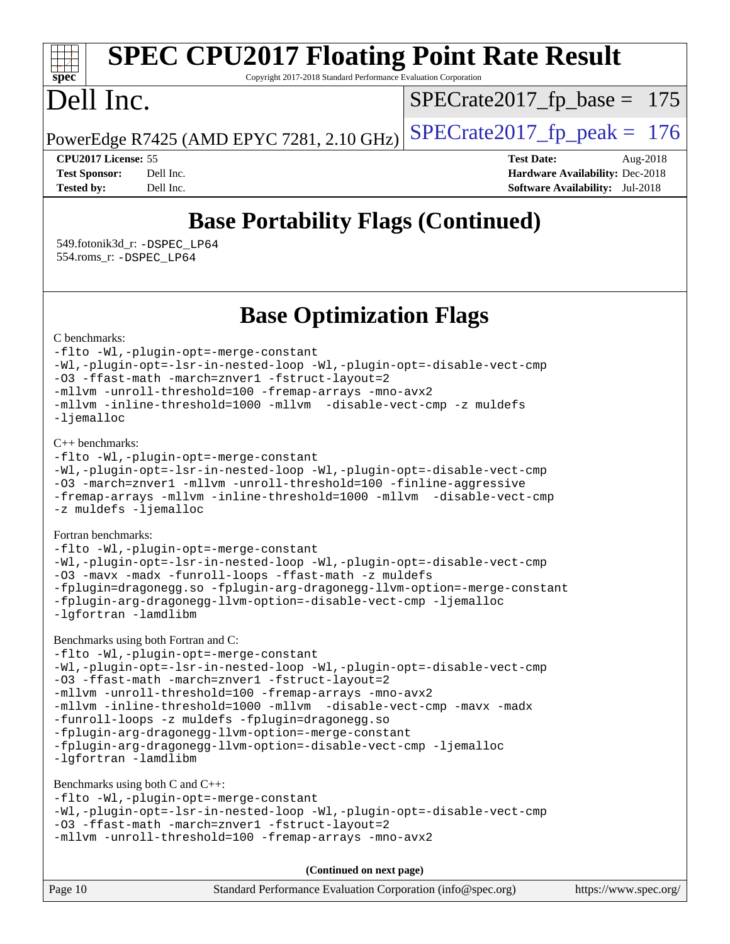#### **[spec](http://www.spec.org/) [SPEC CPU2017 Floating Point Rate Result](http://www.spec.org/auto/cpu2017/Docs/result-fields.html#SPECCPU2017FloatingPointRateResult)** Copyright 2017-2018 Standard Performance Evaluation Corporation Dell Inc. PowerEdge R7425 (AMD EPYC 7281, 2.10 GHz)  $\left|$  [SPECrate2017\\_fp\\_peak =](http://www.spec.org/auto/cpu2017/Docs/result-fields.html#SPECrate2017fppeak) 176 [SPECrate2017\\_fp\\_base =](http://www.spec.org/auto/cpu2017/Docs/result-fields.html#SPECrate2017fpbase) 175

**[CPU2017 License:](http://www.spec.org/auto/cpu2017/Docs/result-fields.html#CPU2017License)** 55 **[Test Date:](http://www.spec.org/auto/cpu2017/Docs/result-fields.html#TestDate)** Aug-2018 **[Test Sponsor:](http://www.spec.org/auto/cpu2017/Docs/result-fields.html#TestSponsor)** Dell Inc. **[Hardware Availability:](http://www.spec.org/auto/cpu2017/Docs/result-fields.html#HardwareAvailability)** Dec-2018 **[Tested by:](http://www.spec.org/auto/cpu2017/Docs/result-fields.html#Testedby)** Dell Inc. **[Software Availability:](http://www.spec.org/auto/cpu2017/Docs/result-fields.html#SoftwareAvailability)** Jul-2018

# **[Base Portability Flags \(Continued\)](http://www.spec.org/auto/cpu2017/Docs/result-fields.html#BasePortabilityFlags)**

 549.fotonik3d\_r: [-DSPEC\\_LP64](http://www.spec.org/cpu2017/results/res2018q4/cpu2017-20181029-09367.flags.html#suite_baseEXTRA_PORTABILITY549_fotonik3d_r_DSPEC_LP64) 554.roms\_r: [-DSPEC\\_LP64](http://www.spec.org/cpu2017/results/res2018q4/cpu2017-20181029-09367.flags.html#suite_baseEXTRA_PORTABILITY554_roms_r_DSPEC_LP64)

## **[Base Optimization Flags](http://www.spec.org/auto/cpu2017/Docs/result-fields.html#BaseOptimizationFlags)**

[C benchmarks](http://www.spec.org/auto/cpu2017/Docs/result-fields.html#Cbenchmarks):

[-flto](http://www.spec.org/cpu2017/results/res2018q4/cpu2017-20181029-09367.flags.html#user_CCbase_lto) [-Wl,-plugin-opt=-merge-constant](http://www.spec.org/cpu2017/results/res2018q4/cpu2017-20181029-09367.flags.html#user_CCbase_F-merge-constant_1d79771b5442061d9c8e05556c6b0c655e6c9e66f8c6936b0129d434b6acd2b1cf1b7cd2540d1570ff636111b08a6bc36e2e61fc34531f8ef7c1a34c57be1dbb) [-Wl,-plugin-opt=-lsr-in-nested-loop](http://www.spec.org/cpu2017/results/res2018q4/cpu2017-20181029-09367.flags.html#user_CCbase_lsr-in-nested-loop_1cff93fd95162f5e77640b5271e8bed680fb62b4a8d96fb8ab217ff3244646f1fbb342e31af83c263403bbf5249c7dc7732d5c86c3eab4cc8d32dcb7a6f33ca0) [-Wl,-plugin-opt=-disable-vect-cmp](http://www.spec.org/cpu2017/results/res2018q4/cpu2017-20181029-09367.flags.html#user_CCbase_disable-vect-cmp_1056b9a09b8ddc126e023b5f99ae33179ef568835465af9b7adeacf4b6480ff575c8aee439265bcfbcbf086f33f2fa5cca2bc4cf52b64c0cd2e10f6503cba02d) [-O3](http://www.spec.org/cpu2017/results/res2018q4/cpu2017-20181029-09367.flags.html#user_CCbase_F-O3) [-ffast-math](http://www.spec.org/cpu2017/results/res2018q4/cpu2017-20181029-09367.flags.html#user_CCbase_F-aocc-ffast-math_78dd175de6534c2005829757b9b0f2878e57b067cce6f7c443b2250ac68890960e2e1b320ca04b81ff7c62c6f87870ed05f06baf7875eea2990d38e3b73c71f1) [-march=znver1](http://www.spec.org/cpu2017/results/res2018q4/cpu2017-20181029-09367.flags.html#user_CCbase_F-march) [-fstruct-layout=2](http://www.spec.org/cpu2017/results/res2018q4/cpu2017-20181029-09367.flags.html#user_CCbase_F-fstruct-layout_a05ec02e17cdf7fe0c3950a6b005251b2b1e5e67af2b5298cf72714730c3d59ba290e75546b10aa22dac074c15ceaca36ae22c62cb51bcb2fbdc9dc4e7e222c4) [-mllvm -unroll-threshold=100](http://www.spec.org/cpu2017/results/res2018q4/cpu2017-20181029-09367.flags.html#user_CCbase_F-unroll-threshold_2755d0c78138845d361fa1543e3a063fffa198df9b3edf0cfb856bbc88a81e1769b12ac7a550c5d35197be55360db1a3f95a8d1304df999456cabf5120c45168) [-fremap-arrays](http://www.spec.org/cpu2017/results/res2018q4/cpu2017-20181029-09367.flags.html#user_CCbase_F-fremap-arrays) [-mno-avx2](http://www.spec.org/cpu2017/results/res2018q4/cpu2017-20181029-09367.flags.html#user_CCbase_F-mno-avx2) [-mllvm -inline-threshold=1000](http://www.spec.org/cpu2017/results/res2018q4/cpu2017-20181029-09367.flags.html#user_CCbase_inline-threshold_b7832241b0a6397e4ecdbaf0eb7defdc10f885c2a282fa3240fdc99844d543fda39cf8a4a9dccf68cf19b5438ac3b455264f478df15da0f4988afa40d8243bab) [-mllvm -disable-vect-cmp](http://www.spec.org/cpu2017/results/res2018q4/cpu2017-20181029-09367.flags.html#user_CCbase_disable-vect-cmp_d995c9eb800469498c6893dc847c54c903d59847b18cb2ac22011b9af7010c96d2d48d3c6b41246fe86945001509aa4dc528afb61cb238fd3b256a31781ea0cf) [-z muldefs](http://www.spec.org/cpu2017/results/res2018q4/cpu2017-20181029-09367.flags.html#user_CCbase_F-z-muldefs) [-ljemalloc](http://www.spec.org/cpu2017/results/res2018q4/cpu2017-20181029-09367.flags.html#user_CCbase_jemalloc-lib_d1249b907c500fa1c0672f44f562e3d0f79738ae9e3c4a9c376d49f265a04b9c99b167ecedbf6711b3085be911c67ff61f150a17b3472be731631ba4d0471706)

[C++ benchmarks:](http://www.spec.org/auto/cpu2017/Docs/result-fields.html#CXXbenchmarks)

```
-flto -Wl,-plugin-opt=-merge-constant
-Wl,-plugin-opt=-lsr-in-nested-loop -Wl,-plugin-opt=-disable-vect-cmp
-O3 -march=znver1 -mllvm -unroll-threshold=100 -finline-aggressive
-fremap-arrays -mllvm -inline-threshold=1000 -mllvm -disable-vect-cmp
-z muldefs -ljemalloc
```
[Fortran benchmarks](http://www.spec.org/auto/cpu2017/Docs/result-fields.html#Fortranbenchmarks):

[-flto](http://www.spec.org/cpu2017/results/res2018q4/cpu2017-20181029-09367.flags.html#user_FCbase_lto) [-Wl,-plugin-opt=-merge-constant](http://www.spec.org/cpu2017/results/res2018q4/cpu2017-20181029-09367.flags.html#user_FCbase_F-merge-constant_1d79771b5442061d9c8e05556c6b0c655e6c9e66f8c6936b0129d434b6acd2b1cf1b7cd2540d1570ff636111b08a6bc36e2e61fc34531f8ef7c1a34c57be1dbb) [-Wl,-plugin-opt=-lsr-in-nested-loop](http://www.spec.org/cpu2017/results/res2018q4/cpu2017-20181029-09367.flags.html#user_FCbase_lsr-in-nested-loop_1cff93fd95162f5e77640b5271e8bed680fb62b4a8d96fb8ab217ff3244646f1fbb342e31af83c263403bbf5249c7dc7732d5c86c3eab4cc8d32dcb7a6f33ca0) [-Wl,-plugin-opt=-disable-vect-cmp](http://www.spec.org/cpu2017/results/res2018q4/cpu2017-20181029-09367.flags.html#user_FCbase_disable-vect-cmp_1056b9a09b8ddc126e023b5f99ae33179ef568835465af9b7adeacf4b6480ff575c8aee439265bcfbcbf086f33f2fa5cca2bc4cf52b64c0cd2e10f6503cba02d) [-O3](http://www.spec.org/cpu2017/results/res2018q4/cpu2017-20181029-09367.flags.html#user_FCbase_F-O3) [-mavx](http://www.spec.org/cpu2017/results/res2018q4/cpu2017-20181029-09367.flags.html#user_FCbase_F-mavx) [-madx](http://www.spec.org/cpu2017/results/res2018q4/cpu2017-20181029-09367.flags.html#user_FCbase_F-madx) [-funroll-loops](http://www.spec.org/cpu2017/results/res2018q4/cpu2017-20181029-09367.flags.html#user_FCbase_aocc-funroll-loops) [-ffast-math](http://www.spec.org/cpu2017/results/res2018q4/cpu2017-20181029-09367.flags.html#user_FCbase_F-aocc-ffast-math_78dd175de6534c2005829757b9b0f2878e57b067cce6f7c443b2250ac68890960e2e1b320ca04b81ff7c62c6f87870ed05f06baf7875eea2990d38e3b73c71f1) [-z muldefs](http://www.spec.org/cpu2017/results/res2018q4/cpu2017-20181029-09367.flags.html#user_FCbase_F-z-muldefs) [-fplugin=dragonegg.so](http://www.spec.org/cpu2017/results/res2018q4/cpu2017-20181029-09367.flags.html#user_FCbase_F-fpluginDragonEgg) [-fplugin-arg-dragonegg-llvm-option=-merge-constant](http://www.spec.org/cpu2017/results/res2018q4/cpu2017-20181029-09367.flags.html#user_FCbase_F-merge-constant_37fd66d07a4fbae8f1b816e843c3ed1ebaa48f794b65ea8be746a1880566a3d23eba4a3c37b5c024650311adcf9247c62af28144803b3729b14be14423fa5142) [-fplugin-arg-dragonegg-llvm-option=-disable-vect-cmp](http://www.spec.org/cpu2017/results/res2018q4/cpu2017-20181029-09367.flags.html#user_FCbase_disable-vect-cmp_d119dd6f96524d64dc477d5e6a72268aebe046b42f767098038bf7530fc0cc546dd329b2376104fde185baca14f7365ef86ccd3ff602b57a7839de005478f594) [-ljemalloc](http://www.spec.org/cpu2017/results/res2018q4/cpu2017-20181029-09367.flags.html#user_FCbase_jemalloc-lib_d1249b907c500fa1c0672f44f562e3d0f79738ae9e3c4a9c376d49f265a04b9c99b167ecedbf6711b3085be911c67ff61f150a17b3472be731631ba4d0471706) [-lgfortran](http://www.spec.org/cpu2017/results/res2018q4/cpu2017-20181029-09367.flags.html#user_FCbase_F-lgfortran) [-lamdlibm](http://www.spec.org/cpu2017/results/res2018q4/cpu2017-20181029-09367.flags.html#user_FCbase_F-lamdlibm)

[Benchmarks using both Fortran and C](http://www.spec.org/auto/cpu2017/Docs/result-fields.html#BenchmarksusingbothFortranandC):

[-flto](http://www.spec.org/cpu2017/results/res2018q4/cpu2017-20181029-09367.flags.html#user_CC_FCbase_lto) [-Wl,-plugin-opt=-merge-constant](http://www.spec.org/cpu2017/results/res2018q4/cpu2017-20181029-09367.flags.html#user_CC_FCbase_F-merge-constant_1d79771b5442061d9c8e05556c6b0c655e6c9e66f8c6936b0129d434b6acd2b1cf1b7cd2540d1570ff636111b08a6bc36e2e61fc34531f8ef7c1a34c57be1dbb) [-Wl,-plugin-opt=-lsr-in-nested-loop](http://www.spec.org/cpu2017/results/res2018q4/cpu2017-20181029-09367.flags.html#user_CC_FCbase_lsr-in-nested-loop_1cff93fd95162f5e77640b5271e8bed680fb62b4a8d96fb8ab217ff3244646f1fbb342e31af83c263403bbf5249c7dc7732d5c86c3eab4cc8d32dcb7a6f33ca0) [-Wl,-plugin-opt=-disable-vect-cmp](http://www.spec.org/cpu2017/results/res2018q4/cpu2017-20181029-09367.flags.html#user_CC_FCbase_disable-vect-cmp_1056b9a09b8ddc126e023b5f99ae33179ef568835465af9b7adeacf4b6480ff575c8aee439265bcfbcbf086f33f2fa5cca2bc4cf52b64c0cd2e10f6503cba02d) [-O3](http://www.spec.org/cpu2017/results/res2018q4/cpu2017-20181029-09367.flags.html#user_CC_FCbase_F-O3) [-ffast-math](http://www.spec.org/cpu2017/results/res2018q4/cpu2017-20181029-09367.flags.html#user_CC_FCbase_F-aocc-ffast-math_78dd175de6534c2005829757b9b0f2878e57b067cce6f7c443b2250ac68890960e2e1b320ca04b81ff7c62c6f87870ed05f06baf7875eea2990d38e3b73c71f1) [-march=znver1](http://www.spec.org/cpu2017/results/res2018q4/cpu2017-20181029-09367.flags.html#user_CC_FCbase_F-march) [-fstruct-layout=2](http://www.spec.org/cpu2017/results/res2018q4/cpu2017-20181029-09367.flags.html#user_CC_FCbase_F-fstruct-layout_a05ec02e17cdf7fe0c3950a6b005251b2b1e5e67af2b5298cf72714730c3d59ba290e75546b10aa22dac074c15ceaca36ae22c62cb51bcb2fbdc9dc4e7e222c4) [-mllvm -unroll-threshold=100](http://www.spec.org/cpu2017/results/res2018q4/cpu2017-20181029-09367.flags.html#user_CC_FCbase_F-unroll-threshold_2755d0c78138845d361fa1543e3a063fffa198df9b3edf0cfb856bbc88a81e1769b12ac7a550c5d35197be55360db1a3f95a8d1304df999456cabf5120c45168) [-fremap-arrays](http://www.spec.org/cpu2017/results/res2018q4/cpu2017-20181029-09367.flags.html#user_CC_FCbase_F-fremap-arrays) [-mno-avx2](http://www.spec.org/cpu2017/results/res2018q4/cpu2017-20181029-09367.flags.html#user_CC_FCbase_F-mno-avx2) [-mllvm -inline-threshold=1000](http://www.spec.org/cpu2017/results/res2018q4/cpu2017-20181029-09367.flags.html#user_CC_FCbase_inline-threshold_b7832241b0a6397e4ecdbaf0eb7defdc10f885c2a282fa3240fdc99844d543fda39cf8a4a9dccf68cf19b5438ac3b455264f478df15da0f4988afa40d8243bab) [-mllvm -disable-vect-cmp](http://www.spec.org/cpu2017/results/res2018q4/cpu2017-20181029-09367.flags.html#user_CC_FCbase_disable-vect-cmp_d995c9eb800469498c6893dc847c54c903d59847b18cb2ac22011b9af7010c96d2d48d3c6b41246fe86945001509aa4dc528afb61cb238fd3b256a31781ea0cf) [-mavx](http://www.spec.org/cpu2017/results/res2018q4/cpu2017-20181029-09367.flags.html#user_CC_FCbase_F-mavx) [-madx](http://www.spec.org/cpu2017/results/res2018q4/cpu2017-20181029-09367.flags.html#user_CC_FCbase_F-madx) [-funroll-loops](http://www.spec.org/cpu2017/results/res2018q4/cpu2017-20181029-09367.flags.html#user_CC_FCbase_aocc-funroll-loops) [-z muldefs](http://www.spec.org/cpu2017/results/res2018q4/cpu2017-20181029-09367.flags.html#user_CC_FCbase_F-z-muldefs) [-fplugin=dragonegg.so](http://www.spec.org/cpu2017/results/res2018q4/cpu2017-20181029-09367.flags.html#user_CC_FCbase_F-fpluginDragonEgg) [-fplugin-arg-dragonegg-llvm-option=-merge-constant](http://www.spec.org/cpu2017/results/res2018q4/cpu2017-20181029-09367.flags.html#user_CC_FCbase_F-merge-constant_37fd66d07a4fbae8f1b816e843c3ed1ebaa48f794b65ea8be746a1880566a3d23eba4a3c37b5c024650311adcf9247c62af28144803b3729b14be14423fa5142) [-fplugin-arg-dragonegg-llvm-option=-disable-vect-cmp](http://www.spec.org/cpu2017/results/res2018q4/cpu2017-20181029-09367.flags.html#user_CC_FCbase_disable-vect-cmp_d119dd6f96524d64dc477d5e6a72268aebe046b42f767098038bf7530fc0cc546dd329b2376104fde185baca14f7365ef86ccd3ff602b57a7839de005478f594) [-ljemalloc](http://www.spec.org/cpu2017/results/res2018q4/cpu2017-20181029-09367.flags.html#user_CC_FCbase_jemalloc-lib_d1249b907c500fa1c0672f44f562e3d0f79738ae9e3c4a9c376d49f265a04b9c99b167ecedbf6711b3085be911c67ff61f150a17b3472be731631ba4d0471706) [-lgfortran](http://www.spec.org/cpu2017/results/res2018q4/cpu2017-20181029-09367.flags.html#user_CC_FCbase_F-lgfortran) [-lamdlibm](http://www.spec.org/cpu2017/results/res2018q4/cpu2017-20181029-09367.flags.html#user_CC_FCbase_F-lamdlibm)

[Benchmarks using both C and C++](http://www.spec.org/auto/cpu2017/Docs/result-fields.html#BenchmarksusingbothCandCXX): [-flto](http://www.spec.org/cpu2017/results/res2018q4/cpu2017-20181029-09367.flags.html#user_CC_CXXbase_lto) [-Wl,-plugin-opt=-merge-constant](http://www.spec.org/cpu2017/results/res2018q4/cpu2017-20181029-09367.flags.html#user_CC_CXXbase_F-merge-constant_1d79771b5442061d9c8e05556c6b0c655e6c9e66f8c6936b0129d434b6acd2b1cf1b7cd2540d1570ff636111b08a6bc36e2e61fc34531f8ef7c1a34c57be1dbb) [-Wl,-plugin-opt=-lsr-in-nested-loop](http://www.spec.org/cpu2017/results/res2018q4/cpu2017-20181029-09367.flags.html#user_CC_CXXbase_lsr-in-nested-loop_1cff93fd95162f5e77640b5271e8bed680fb62b4a8d96fb8ab217ff3244646f1fbb342e31af83c263403bbf5249c7dc7732d5c86c3eab4cc8d32dcb7a6f33ca0) [-Wl,-plugin-opt=-disable-vect-cmp](http://www.spec.org/cpu2017/results/res2018q4/cpu2017-20181029-09367.flags.html#user_CC_CXXbase_disable-vect-cmp_1056b9a09b8ddc126e023b5f99ae33179ef568835465af9b7adeacf4b6480ff575c8aee439265bcfbcbf086f33f2fa5cca2bc4cf52b64c0cd2e10f6503cba02d) [-O3](http://www.spec.org/cpu2017/results/res2018q4/cpu2017-20181029-09367.flags.html#user_CC_CXXbase_F-O3) [-ffast-math](http://www.spec.org/cpu2017/results/res2018q4/cpu2017-20181029-09367.flags.html#user_CC_CXXbase_F-aocc-ffast-math_78dd175de6534c2005829757b9b0f2878e57b067cce6f7c443b2250ac68890960e2e1b320ca04b81ff7c62c6f87870ed05f06baf7875eea2990d38e3b73c71f1) [-march=znver1](http://www.spec.org/cpu2017/results/res2018q4/cpu2017-20181029-09367.flags.html#user_CC_CXXbase_F-march) [-fstruct-layout=2](http://www.spec.org/cpu2017/results/res2018q4/cpu2017-20181029-09367.flags.html#user_CC_CXXbase_F-fstruct-layout_a05ec02e17cdf7fe0c3950a6b005251b2b1e5e67af2b5298cf72714730c3d59ba290e75546b10aa22dac074c15ceaca36ae22c62cb51bcb2fbdc9dc4e7e222c4) [-mllvm -unroll-threshold=100](http://www.spec.org/cpu2017/results/res2018q4/cpu2017-20181029-09367.flags.html#user_CC_CXXbase_F-unroll-threshold_2755d0c78138845d361fa1543e3a063fffa198df9b3edf0cfb856bbc88a81e1769b12ac7a550c5d35197be55360db1a3f95a8d1304df999456cabf5120c45168) [-fremap-arrays](http://www.spec.org/cpu2017/results/res2018q4/cpu2017-20181029-09367.flags.html#user_CC_CXXbase_F-fremap-arrays) [-mno-avx2](http://www.spec.org/cpu2017/results/res2018q4/cpu2017-20181029-09367.flags.html#user_CC_CXXbase_F-mno-avx2)

**(Continued on next page)**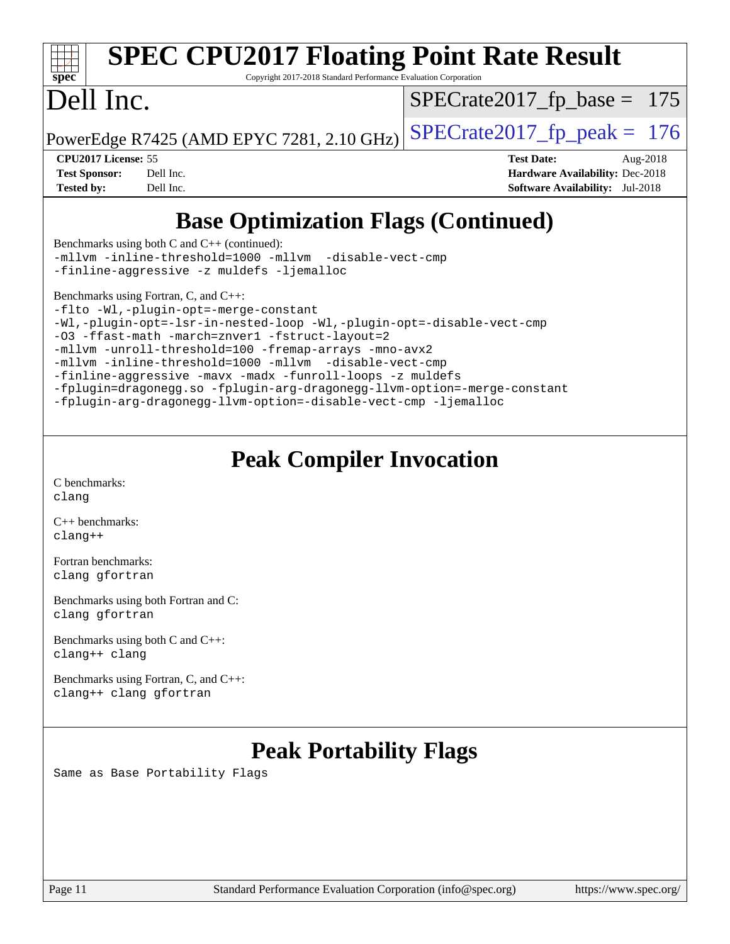| <b>SPEC CPU2017 Floating Point Rate Result</b><br>Spec<br>Copyright 2017-2018 Standard Performance Evaluation Corporation                                                                                                                                                                                                                                                        |                                           |                                        |  |  |  |  |
|----------------------------------------------------------------------------------------------------------------------------------------------------------------------------------------------------------------------------------------------------------------------------------------------------------------------------------------------------------------------------------|-------------------------------------------|----------------------------------------|--|--|--|--|
| Dell Inc.                                                                                                                                                                                                                                                                                                                                                                        |                                           | $SPECrate2017_fp\_base = 175$          |  |  |  |  |
|                                                                                                                                                                                                                                                                                                                                                                                  | PowerEdge R7425 (AMD EPYC 7281, 2.10 GHz) | $SPECrate2017fp peak = 176$            |  |  |  |  |
| <b>CPU2017 License: 55</b>                                                                                                                                                                                                                                                                                                                                                       |                                           | <b>Test Date:</b><br>Aug-2018          |  |  |  |  |
| <b>Test Sponsor:</b>                                                                                                                                                                                                                                                                                                                                                             | Dell Inc.                                 | Hardware Availability: Dec-2018        |  |  |  |  |
| <b>Tested by:</b>                                                                                                                                                                                                                                                                                                                                                                | Dell Inc.                                 | <b>Software Availability:</b> Jul-2018 |  |  |  |  |
| <b>Base Optimization Flags (Continued)</b><br>$\mathbf{1}$ $\mathbf{1}$ $\mathbf{2}$ $\mathbf{1}$ $\mathbf{3}$ $\mathbf{1}$ $\mathbf{2}$ $\mathbf{3}$ $\mathbf{3}$ $\mathbf{4}$ $\mathbf{5}$ $\mathbf{5}$ $\mathbf{6}$ $\mathbf{1}$ $\mathbf{5}$ $\mathbf{1}$ $\mathbf{1}$ $\mathbf{1}$ $\mathbf{1}$ $\mathbf{1}$ $\mathbf{1}$ $\mathbf{1}$ $\mathbf{1}$ $\mathbf{1}$ $\mathbf{$ |                                           |                                        |  |  |  |  |

[Benchmarks using both C and C++](http://www.spec.org/auto/cpu2017/Docs/result-fields.html#BenchmarksusingbothCandCXX) (continued): [-mllvm -inline-threshold=1000](http://www.spec.org/cpu2017/results/res2018q4/cpu2017-20181029-09367.flags.html#user_CC_CXXbase_inline-threshold_b7832241b0a6397e4ecdbaf0eb7defdc10f885c2a282fa3240fdc99844d543fda39cf8a4a9dccf68cf19b5438ac3b455264f478df15da0f4988afa40d8243bab) [-mllvm -disable-vect-cmp](http://www.spec.org/cpu2017/results/res2018q4/cpu2017-20181029-09367.flags.html#user_CC_CXXbase_disable-vect-cmp_d995c9eb800469498c6893dc847c54c903d59847b18cb2ac22011b9af7010c96d2d48d3c6b41246fe86945001509aa4dc528afb61cb238fd3b256a31781ea0cf) [-finline-aggressive](http://www.spec.org/cpu2017/results/res2018q4/cpu2017-20181029-09367.flags.html#user_CC_CXXbase_F-finline-aggressive) [-z muldefs](http://www.spec.org/cpu2017/results/res2018q4/cpu2017-20181029-09367.flags.html#user_CC_CXXbase_F-z-muldefs) [-ljemalloc](http://www.spec.org/cpu2017/results/res2018q4/cpu2017-20181029-09367.flags.html#user_CC_CXXbase_jemalloc-lib_d1249b907c500fa1c0672f44f562e3d0f79738ae9e3c4a9c376d49f265a04b9c99b167ecedbf6711b3085be911c67ff61f150a17b3472be731631ba4d0471706)

[Benchmarks using Fortran, C, and C++:](http://www.spec.org/auto/cpu2017/Docs/result-fields.html#BenchmarksusingFortranCandCXX)

[-flto](http://www.spec.org/cpu2017/results/res2018q4/cpu2017-20181029-09367.flags.html#user_CC_CXX_FCbase_lto) [-Wl,-plugin-opt=-merge-constant](http://www.spec.org/cpu2017/results/res2018q4/cpu2017-20181029-09367.flags.html#user_CC_CXX_FCbase_F-merge-constant_1d79771b5442061d9c8e05556c6b0c655e6c9e66f8c6936b0129d434b6acd2b1cf1b7cd2540d1570ff636111b08a6bc36e2e61fc34531f8ef7c1a34c57be1dbb) [-Wl,-plugin-opt=-lsr-in-nested-loop](http://www.spec.org/cpu2017/results/res2018q4/cpu2017-20181029-09367.flags.html#user_CC_CXX_FCbase_lsr-in-nested-loop_1cff93fd95162f5e77640b5271e8bed680fb62b4a8d96fb8ab217ff3244646f1fbb342e31af83c263403bbf5249c7dc7732d5c86c3eab4cc8d32dcb7a6f33ca0) [-Wl,-plugin-opt=-disable-vect-cmp](http://www.spec.org/cpu2017/results/res2018q4/cpu2017-20181029-09367.flags.html#user_CC_CXX_FCbase_disable-vect-cmp_1056b9a09b8ddc126e023b5f99ae33179ef568835465af9b7adeacf4b6480ff575c8aee439265bcfbcbf086f33f2fa5cca2bc4cf52b64c0cd2e10f6503cba02d) [-O3](http://www.spec.org/cpu2017/results/res2018q4/cpu2017-20181029-09367.flags.html#user_CC_CXX_FCbase_F-O3) [-ffast-math](http://www.spec.org/cpu2017/results/res2018q4/cpu2017-20181029-09367.flags.html#user_CC_CXX_FCbase_F-aocc-ffast-math_78dd175de6534c2005829757b9b0f2878e57b067cce6f7c443b2250ac68890960e2e1b320ca04b81ff7c62c6f87870ed05f06baf7875eea2990d38e3b73c71f1) [-march=znver1](http://www.spec.org/cpu2017/results/res2018q4/cpu2017-20181029-09367.flags.html#user_CC_CXX_FCbase_F-march) [-fstruct-layout=2](http://www.spec.org/cpu2017/results/res2018q4/cpu2017-20181029-09367.flags.html#user_CC_CXX_FCbase_F-fstruct-layout_a05ec02e17cdf7fe0c3950a6b005251b2b1e5e67af2b5298cf72714730c3d59ba290e75546b10aa22dac074c15ceaca36ae22c62cb51bcb2fbdc9dc4e7e222c4) [-mllvm -unroll-threshold=100](http://www.spec.org/cpu2017/results/res2018q4/cpu2017-20181029-09367.flags.html#user_CC_CXX_FCbase_F-unroll-threshold_2755d0c78138845d361fa1543e3a063fffa198df9b3edf0cfb856bbc88a81e1769b12ac7a550c5d35197be55360db1a3f95a8d1304df999456cabf5120c45168) [-fremap-arrays](http://www.spec.org/cpu2017/results/res2018q4/cpu2017-20181029-09367.flags.html#user_CC_CXX_FCbase_F-fremap-arrays) [-mno-avx2](http://www.spec.org/cpu2017/results/res2018q4/cpu2017-20181029-09367.flags.html#user_CC_CXX_FCbase_F-mno-avx2) [-mllvm -inline-threshold=1000](http://www.spec.org/cpu2017/results/res2018q4/cpu2017-20181029-09367.flags.html#user_CC_CXX_FCbase_inline-threshold_b7832241b0a6397e4ecdbaf0eb7defdc10f885c2a282fa3240fdc99844d543fda39cf8a4a9dccf68cf19b5438ac3b455264f478df15da0f4988afa40d8243bab) [-mllvm -disable-vect-cmp](http://www.spec.org/cpu2017/results/res2018q4/cpu2017-20181029-09367.flags.html#user_CC_CXX_FCbase_disable-vect-cmp_d995c9eb800469498c6893dc847c54c903d59847b18cb2ac22011b9af7010c96d2d48d3c6b41246fe86945001509aa4dc528afb61cb238fd3b256a31781ea0cf) [-finline-aggressive](http://www.spec.org/cpu2017/results/res2018q4/cpu2017-20181029-09367.flags.html#user_CC_CXX_FCbase_F-finline-aggressive) [-mavx](http://www.spec.org/cpu2017/results/res2018q4/cpu2017-20181029-09367.flags.html#user_CC_CXX_FCbase_F-mavx) [-madx](http://www.spec.org/cpu2017/results/res2018q4/cpu2017-20181029-09367.flags.html#user_CC_CXX_FCbase_F-madx) [-funroll-loops](http://www.spec.org/cpu2017/results/res2018q4/cpu2017-20181029-09367.flags.html#user_CC_CXX_FCbase_aocc-funroll-loops) [-z muldefs](http://www.spec.org/cpu2017/results/res2018q4/cpu2017-20181029-09367.flags.html#user_CC_CXX_FCbase_F-z-muldefs) [-fplugin=dragonegg.so](http://www.spec.org/cpu2017/results/res2018q4/cpu2017-20181029-09367.flags.html#user_CC_CXX_FCbase_F-fpluginDragonEgg) [-fplugin-arg-dragonegg-llvm-option=-merge-constant](http://www.spec.org/cpu2017/results/res2018q4/cpu2017-20181029-09367.flags.html#user_CC_CXX_FCbase_F-merge-constant_37fd66d07a4fbae8f1b816e843c3ed1ebaa48f794b65ea8be746a1880566a3d23eba4a3c37b5c024650311adcf9247c62af28144803b3729b14be14423fa5142) [-fplugin-arg-dragonegg-llvm-option=-disable-vect-cmp](http://www.spec.org/cpu2017/results/res2018q4/cpu2017-20181029-09367.flags.html#user_CC_CXX_FCbase_disable-vect-cmp_d119dd6f96524d64dc477d5e6a72268aebe046b42f767098038bf7530fc0cc546dd329b2376104fde185baca14f7365ef86ccd3ff602b57a7839de005478f594) [-ljemalloc](http://www.spec.org/cpu2017/results/res2018q4/cpu2017-20181029-09367.flags.html#user_CC_CXX_FCbase_jemalloc-lib_d1249b907c500fa1c0672f44f562e3d0f79738ae9e3c4a9c376d49f265a04b9c99b167ecedbf6711b3085be911c67ff61f150a17b3472be731631ba4d0471706)

## **[Peak Compiler Invocation](http://www.spec.org/auto/cpu2017/Docs/result-fields.html#PeakCompilerInvocation)**

[C benchmarks](http://www.spec.org/auto/cpu2017/Docs/result-fields.html#Cbenchmarks): [clang](http://www.spec.org/cpu2017/results/res2018q4/cpu2017-20181029-09367.flags.html#user_CCpeak_Fclang3_a68b77bfed473bd9cdd22529af008e8306c2e3948617c8991604c1a2000ee4a73ef90dd8bc793e105fe4165a625d26dacbda4708d828ad19048918c071b363ec)

[C++ benchmarks:](http://www.spec.org/auto/cpu2017/Docs/result-fields.html#CXXbenchmarks) [clang++](http://www.spec.org/cpu2017/results/res2018q4/cpu2017-20181029-09367.flags.html#user_CXXpeak_Fclang3_57a48582e5be507d19b2527b3e7d4f85d9b8669ffc9a8a0dbb9bcf949a918a58bbab411e0c4d14a3922022a3e425a90db94042683824c1806feff4324ca1000d)

[Fortran benchmarks](http://www.spec.org/auto/cpu2017/Docs/result-fields.html#Fortranbenchmarks): [clang](http://www.spec.org/cpu2017/results/res2018q4/cpu2017-20181029-09367.flags.html#user_FCpeak_Fclang3_a68b77bfed473bd9cdd22529af008e8306c2e3948617c8991604c1a2000ee4a73ef90dd8bc793e105fe4165a625d26dacbda4708d828ad19048918c071b363ec) [gfortran](http://www.spec.org/cpu2017/results/res2018q4/cpu2017-20181029-09367.flags.html#user_FCpeak_aocc-gfortran_128c91a56d61ddb07404721e65b8f9498c31a443dacbd3b7f212891090eca86e2d099b520f75b99e9e8ac4fdec01f4d15f0b65e47123ec4c42b0759045731a1f)

[Benchmarks using both Fortran and C](http://www.spec.org/auto/cpu2017/Docs/result-fields.html#BenchmarksusingbothFortranandC): [clang](http://www.spec.org/cpu2017/results/res2018q4/cpu2017-20181029-09367.flags.html#user_CC_FCpeak_Fclang3_a68b77bfed473bd9cdd22529af008e8306c2e3948617c8991604c1a2000ee4a73ef90dd8bc793e105fe4165a625d26dacbda4708d828ad19048918c071b363ec) [gfortran](http://www.spec.org/cpu2017/results/res2018q4/cpu2017-20181029-09367.flags.html#user_CC_FCpeak_aocc-gfortran_128c91a56d61ddb07404721e65b8f9498c31a443dacbd3b7f212891090eca86e2d099b520f75b99e9e8ac4fdec01f4d15f0b65e47123ec4c42b0759045731a1f)

[Benchmarks using both C and C++](http://www.spec.org/auto/cpu2017/Docs/result-fields.html#BenchmarksusingbothCandCXX): [clang++](http://www.spec.org/cpu2017/results/res2018q4/cpu2017-20181029-09367.flags.html#user_CC_CXXpeak_Fclang3_57a48582e5be507d19b2527b3e7d4f85d9b8669ffc9a8a0dbb9bcf949a918a58bbab411e0c4d14a3922022a3e425a90db94042683824c1806feff4324ca1000d) [clang](http://www.spec.org/cpu2017/results/res2018q4/cpu2017-20181029-09367.flags.html#user_CC_CXXpeak_Fclang3_a68b77bfed473bd9cdd22529af008e8306c2e3948617c8991604c1a2000ee4a73ef90dd8bc793e105fe4165a625d26dacbda4708d828ad19048918c071b363ec)

[Benchmarks using Fortran, C, and C++:](http://www.spec.org/auto/cpu2017/Docs/result-fields.html#BenchmarksusingFortranCandCXX) [clang++](http://www.spec.org/cpu2017/results/res2018q4/cpu2017-20181029-09367.flags.html#user_CC_CXX_FCpeak_Fclang3_57a48582e5be507d19b2527b3e7d4f85d9b8669ffc9a8a0dbb9bcf949a918a58bbab411e0c4d14a3922022a3e425a90db94042683824c1806feff4324ca1000d) [clang](http://www.spec.org/cpu2017/results/res2018q4/cpu2017-20181029-09367.flags.html#user_CC_CXX_FCpeak_Fclang3_a68b77bfed473bd9cdd22529af008e8306c2e3948617c8991604c1a2000ee4a73ef90dd8bc793e105fe4165a625d26dacbda4708d828ad19048918c071b363ec) [gfortran](http://www.spec.org/cpu2017/results/res2018q4/cpu2017-20181029-09367.flags.html#user_CC_CXX_FCpeak_aocc-gfortran_128c91a56d61ddb07404721e65b8f9498c31a443dacbd3b7f212891090eca86e2d099b520f75b99e9e8ac4fdec01f4d15f0b65e47123ec4c42b0759045731a1f)

# **[Peak Portability Flags](http://www.spec.org/auto/cpu2017/Docs/result-fields.html#PeakPortabilityFlags)**

Same as Base Portability Flags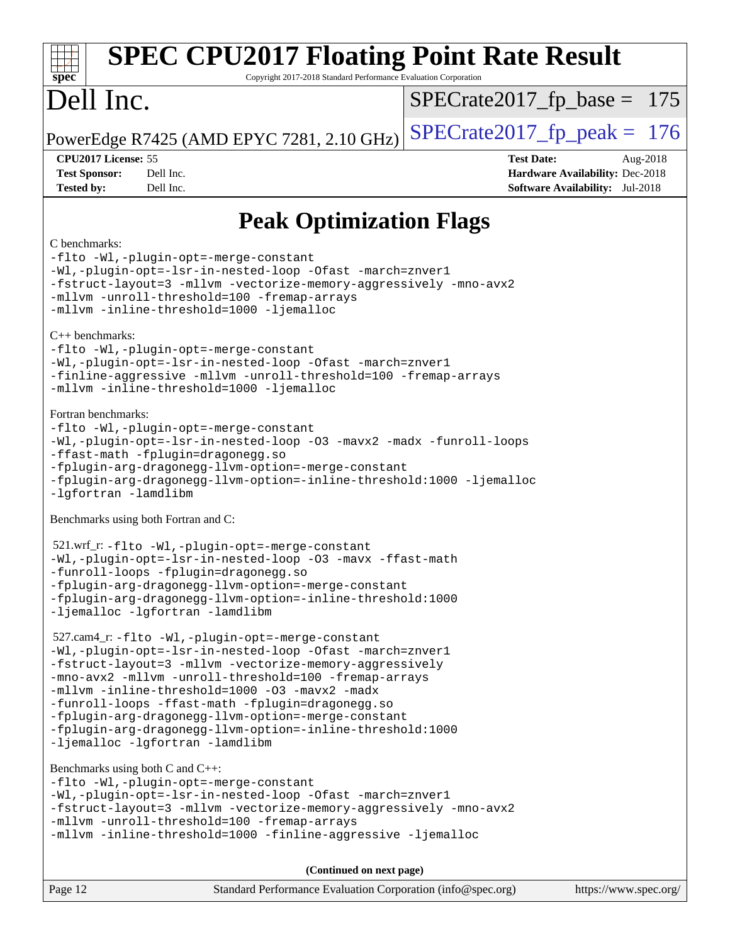| <b>SPEC CPU2017 Floating Point Rate Result</b><br>Copyright 2017-2018 Standard Performance Evaluation Corporation<br>$spec^*$                                                                                                                                                                                                                                                                                                                                                                                                                         |                                                                                                            |  |  |  |  |
|-------------------------------------------------------------------------------------------------------------------------------------------------------------------------------------------------------------------------------------------------------------------------------------------------------------------------------------------------------------------------------------------------------------------------------------------------------------------------------------------------------------------------------------------------------|------------------------------------------------------------------------------------------------------------|--|--|--|--|
| Dell Inc.                                                                                                                                                                                                                                                                                                                                                                                                                                                                                                                                             | $SPECrate2017_fp\_base = 175$                                                                              |  |  |  |  |
| PowerEdge R7425 (AMD EPYC 7281, 2.10 GHz)                                                                                                                                                                                                                                                                                                                                                                                                                                                                                                             | $SPECrate2017fp peak = 176$                                                                                |  |  |  |  |
| CPU2017 License: 55<br><b>Test Sponsor:</b><br>Dell Inc.<br>Dell Inc.<br><b>Tested by:</b>                                                                                                                                                                                                                                                                                                                                                                                                                                                            | <b>Test Date:</b><br>Aug-2018<br>Hardware Availability: Dec-2018<br><b>Software Availability:</b> Jul-2018 |  |  |  |  |
| <b>Peak Optimization Flags</b>                                                                                                                                                                                                                                                                                                                                                                                                                                                                                                                        |                                                                                                            |  |  |  |  |
| C benchmarks:<br>-flto -Wl,-plugin-opt=-merge-constant<br>-Wl,-plugin-opt=-lsr-in-nested-loop -Ofast -march=znver1<br>-fstruct-layout=3 -mllvm -vectorize-memory-aggressively -mno-avx2<br>-mllvm -unroll-threshold=100 -fremap-arrays<br>-mllvm -inline-threshold=1000 -ljemalloc<br>$C_{++}$ benchmarks:<br>-flto -Wl,-plugin-opt=-merge-constant<br>-Wl,-plugin-opt=-lsr-in-nested-loop -Ofast -march=znver1<br>-finline-aggressive -mllvm -unroll-threshold=100 -fremap-arrays<br>-mllvm -inline-threshold=1000 -ljemalloc<br>Fortran benchmarks: |                                                                                                            |  |  |  |  |
| -flto -Wl,-plugin-opt=-merge-constant<br>-Wl,-plugin-opt=-lsr-in-nested-loop -03 -mavx2 -madx -funroll-loops<br>-ffast-math -fplugin=dragonegg.so<br>-fplugin-arg-dragonegg-llvm-option=-merge-constant<br>-fplugin-arg-dragonegg-llvm-option=-inline-threshold:1000 -ljemalloc<br>-lgfortran -lamdlibm                                                                                                                                                                                                                                               |                                                                                                            |  |  |  |  |
| Benchmarks using both Fortran and C:                                                                                                                                                                                                                                                                                                                                                                                                                                                                                                                  |                                                                                                            |  |  |  |  |
| 521.wrf_r: -flto -Wl,-plugin-opt=-merge-constant<br>-Wl,-plugin-opt=-lsr-in-nested-loop -03 -mavx -ffast-math<br>-funroll-loops -fplugin=dragonegg.so<br>-fplugin-arg-dragonegg-llvm-option=-merge-constant<br>-fplugin-arg-dragonegg-llvm-option=-inline-threshold:1000<br>-ljemalloc -lgfortran -lamdlibm                                                                                                                                                                                                                                           |                                                                                                            |  |  |  |  |
| 527.cam4_r: -flto -Wl,-plugin-opt=-merge-constant<br>-Wl,-plugin-opt=-lsr-in-nested-loop -Ofast -march=znver1<br>-fstruct-layout=3 -mllvm -vectorize-memory-aggressively<br>-mno-avx2 -mllvm -unroll-threshold=100 -fremap-arrays<br>-mllvm -inline-threshold=1000 -03 -mavx2 -madx<br>-funroll-loops -ffast-math -fplugin=dragonegg.so<br>-fplugin-arg-dragonegg-llvm-option=-merge-constant<br>-fplugin-arg-dragonegg-llvm-option=-inline-threshold:1000<br>-ljemalloc -lgfortran -lamdlibm                                                         |                                                                                                            |  |  |  |  |
| Benchmarks using both $C$ and $C_{++}$ :<br>-flto -Wl,-plugin-opt=-merge-constant<br>-Wl,-plugin-opt=-lsr-in-nested-loop -Ofast -march=znver1<br>-fstruct-layout=3 -mllvm -vectorize-memory-aggressively -mno-avx2<br>-mllvm -unroll-threshold=100 -fremap-arrays<br>-mllvm -inline-threshold=1000 -finline-aggressive -ljemalloc                                                                                                                                                                                                                     |                                                                                                            |  |  |  |  |
| (Continued on next page)                                                                                                                                                                                                                                                                                                                                                                                                                                                                                                                              |                                                                                                            |  |  |  |  |